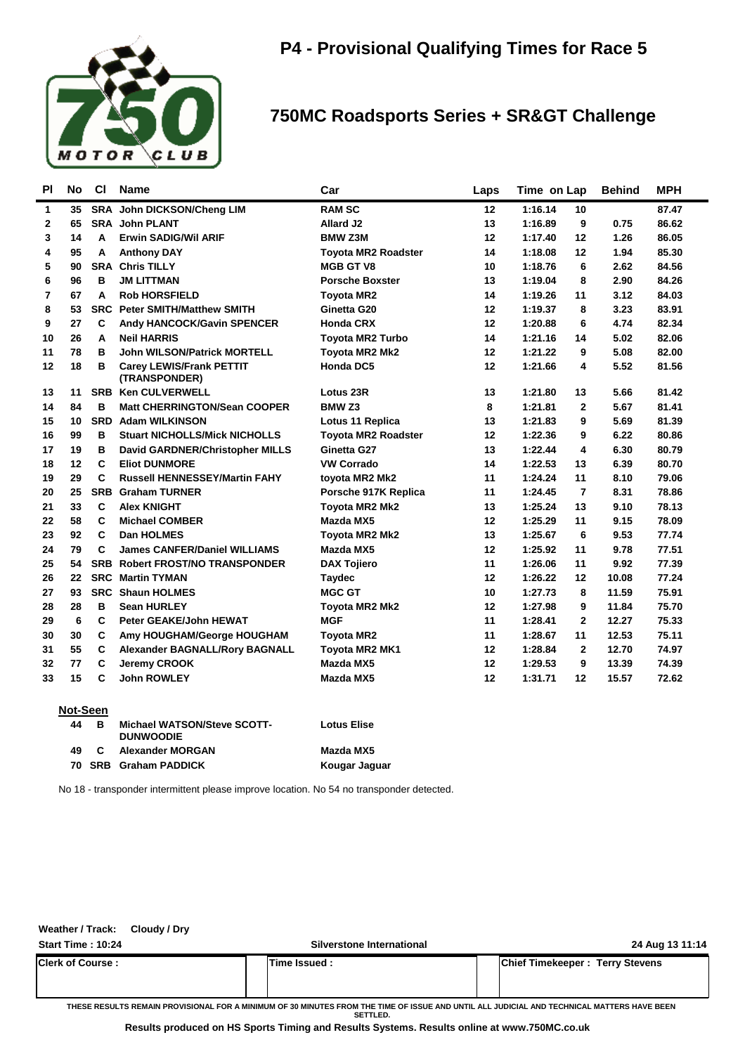

## **750MC Roadsports Series + SR&GT Challenge**

| <b>PI</b> | <b>No</b> | <b>CI</b>    | <b>Name</b>                                      | Car                        | Laps | Time on Lap |                | <b>Behind</b> | <b>MPH</b> |
|-----------|-----------|--------------|--------------------------------------------------|----------------------------|------|-------------|----------------|---------------|------------|
| 1         | 35        | <b>SRA</b>   | John DICKSON/Cheng LIM                           | <b>RAM SC</b>              | 12   | 1:16.14     | 10             |               | 87.47      |
| 2         | 65        |              | <b>SRA John PLANT</b>                            | <b>Allard J2</b>           | 13   | 1:16.89     | 9              | 0.75          | 86.62      |
| 3         | 14        | A            | <b>Erwin SADIG/Wil ARIF</b>                      | <b>BMW Z3M</b>             | 12   | 1:17.40     | 12             | 1.26          | 86.05      |
| 4         | 95        | A            | <b>Anthony DAY</b>                               | <b>Toyota MR2 Roadster</b> | 14   | 1:18.08     | 12             | 1.94          | 85.30      |
| 5         | 90        |              | <b>SRA Chris TILLY</b>                           | <b>MGB GT V8</b>           | 10   | 1:18.76     | 6              | 2.62          | 84.56      |
| 6         | 96        | в            | <b>JM LITTMAN</b>                                | <b>Porsche Boxster</b>     | 13   | 1:19.04     | 8              | 2.90          | 84.26      |
| 7         | 67        | A            | <b>Rob HORSFIELD</b>                             | <b>Toyota MR2</b>          | 14   | 1:19.26     | 11             | 3.12          | 84.03      |
| 8         | 53        |              | <b>SRC Peter SMITH/Matthew SMITH</b>             | Ginetta G20                | 12   | 1:19.37     | 8              | 3.23          | 83.91      |
| 9         | 27        | C            | <b>Andy HANCOCK/Gavin SPENCER</b>                | <b>Honda CRX</b>           | 12   | 1:20.88     | 6              | 4.74          | 82.34      |
| 10        | 26        | A            | <b>Neil HARRIS</b>                               | <b>Toyota MR2 Turbo</b>    | 14   | 1:21.16     | 14             | 5.02          | 82.06      |
| 11        | 78        | B            | <b>John WILSON/Patrick MORTELL</b>               | <b>Toyota MR2 Mk2</b>      | 12   | 1:21.22     | 9              | 5.08          | 82.00      |
| 12        | 18        | в            | <b>Carey LEWIS/Frank PETTIT</b><br>(TRANSPONDER) | <b>Honda DC5</b>           | 12   | 1:21.66     | 4              | 5.52          | 81.56      |
| 13        | 11        |              | <b>SRB Ken CULVERWELL</b>                        | Lotus 23R                  | 13   | 1:21.80     | 13             | 5.66          | 81.42      |
| 14        | 84        | в            | <b>Matt CHERRINGTON/Sean COOPER</b>              | BMW <sub>Z3</sub>          | 8    | 1:21.81     | $\mathbf{2}$   | 5.67          | 81.41      |
| 15        | 10        |              | <b>SRD</b> Adam WILKINSON                        | Lotus 11 Replica           | 13   | 1:21.83     | 9              | 5.69          | 81.39      |
| 16        | 99        | в            | <b>Stuart NICHOLLS/Mick NICHOLLS</b>             | <b>Toyota MR2 Roadster</b> | 12   | 1:22.36     | 9              | 6.22          | 80.86      |
| 17        | 19        | в            | David GARDNER/Christopher MILLS                  | Ginetta G27                | 13   | 1:22.44     | 4              | 6.30          | 80.79      |
| 18        | 12        | $\mathbf c$  | <b>Eliot DUNMORE</b>                             | <b>VW Corrado</b>          | 14   | 1:22.53     | 13             | 6.39          | 80.70      |
| 19        | 29        | $\mathbf c$  | <b>Russell HENNESSEY/Martin FAHY</b>             | toyota MR2 Mk2             | 11   | 1:24.24     | 11             | 8.10          | 79.06      |
| 20        | 25        | <b>SRB</b>   | <b>Graham TURNER</b>                             | Porsche 917K Replica       | 11   | 1:24.45     | $\overline{7}$ | 8.31          | 78.86      |
| 21        | 33        | C            | <b>Alex KNIGHT</b>                               | Toyota MR2 Mk2             | 13   | 1:25.24     | 13             | 9.10          | 78.13      |
| 22        | 58        | C            | <b>Michael COMBER</b>                            | Mazda MX5                  | 12   | 1:25.29     | 11             | 9.15          | 78.09      |
| 23        | 92        | $\mathbf{C}$ | <b>Dan HOLMES</b>                                | Toyota MR2 Mk2             | 13   | 1:25.67     | 6              | 9.53          | 77.74      |
| 24        | 79        | $\mathbf{C}$ | <b>James CANFER/Daniel WILLIAMS</b>              | Mazda MX5                  | 12   | 1:25.92     | 11             | 9.78          | 77.51      |
| 25        | 54        | <b>SRB</b>   | <b>Robert FROST/NO TRANSPONDER</b>               | <b>DAX Tojiero</b>         | 11   | 1:26.06     | 11             | 9.92          | 77.39      |
| 26        | 22        | <b>SRC</b>   | <b>Martin TYMAN</b>                              | <b>Taydec</b>              | 12   | 1:26.22     | 12             | 10.08         | 77.24      |
| 27        | 93        |              | <b>SRC Shaun HOLMES</b>                          | <b>MGC GT</b>              | 10   | 1:27.73     | 8              | 11.59         | 75.91      |
| 28        | 28        | в            | <b>Sean HURLEY</b>                               | <b>Toyota MR2 Mk2</b>      | 12   | 1:27.98     | 9              | 11.84         | 75.70      |
| 29        | 6         | $\mathbf{C}$ | <b>Peter GEAKE/John HEWAT</b>                    | <b>MGF</b>                 | 11   | 1:28.41     | $\mathbf{2}$   | 12.27         | 75.33      |
| 30        | 30        | C            | Amy HOUGHAM/George HOUGHAM                       | <b>Toyota MR2</b>          | 11   | 1:28.67     | 11             | 12.53         | 75.11      |
| 31        | 55        | C            | <b>Alexander BAGNALL/Rory BAGNALL</b>            | Toyota MR2 MK1             | 12   | 1:28.84     | $\mathbf{2}$   | 12.70         | 74.97      |
| 32        | 77        | C            | Jeremy CROOK                                     | Mazda MX5                  | 12   | 1:29.53     | 9              | 13.39         | 74.39      |
| 33        | 15        | C            | <b>John ROWLEY</b>                               | Mazda MX5                  | 12   | 1:31.71     | 12             | 15.57         | 72.62      |
|           |           |              |                                                  |                            |      |             |                |               |            |

#### **Not-Seen**

| .   |   |                                                 |                    |  |
|-----|---|-------------------------------------------------|--------------------|--|
| 44  | в | Michael WATSON/Steve SCOTT-<br><b>DUNWOODIE</b> | <b>Lotus Elise</b> |  |
| 49. |   | Alexander MORGAN                                | Mazda MX5          |  |
|     |   | 70 SRB Graham PADDICK                           | Kougar Jaguar      |  |
|     |   |                                                 |                    |  |

No 18 - transponder intermittent please improve location. No 54 no transponder detected.

| Weather / Track:         | Cloudy / Dry |                                                                                                                                                        |                                        |
|--------------------------|--------------|--------------------------------------------------------------------------------------------------------------------------------------------------------|----------------------------------------|
| <b>Start Time: 10:24</b> |              | Silverstone International                                                                                                                              | 24 Aug 13 11:14                        |
| Clerk of Course :        |              | Time Issued:                                                                                                                                           | <b>Chief Timekeeper: Terry Stevens</b> |
|                          |              | THESE RESULTS REMAIN PROVISIONAL FOR A MINIMUM OF 30 MINUTES FROM THE TIME OF ISSUE AND UNTIL ALL JUDICIAL AND TECHNICAL MATTERS HAVE BEEN<br>SETTLED. |                                        |

**Results produced on HS Sports Timing and Results Systems. Results online at www.750MC.co.uk**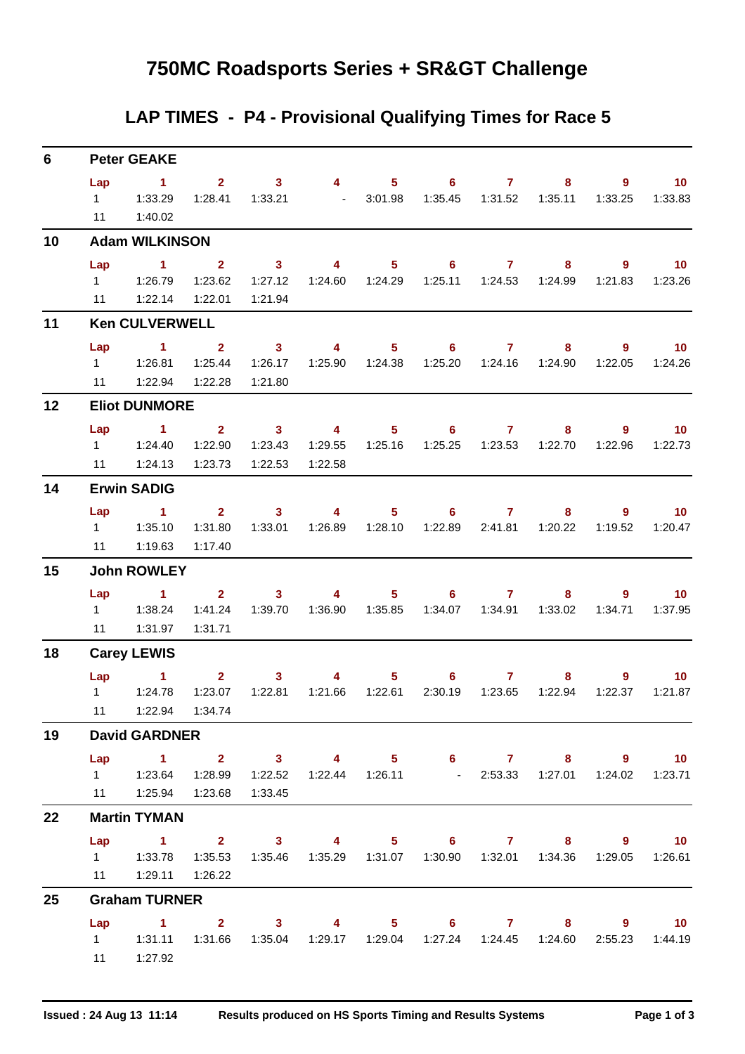## **750MC Roadsports Series + SR&GT Challenge**

## **LAP TIMES - P4 - Provisional Qualifying Times for Race 5**

| 6  |           | <b>Peter GEAKE</b>                                                                                                                                          |                                    |                                                                                                                                                                                                                                                                                                                                                                                                                |                           |                  |                   |                  |                                                                        |              |                               |
|----|-----------|-------------------------------------------------------------------------------------------------------------------------------------------------------------|------------------------------------|----------------------------------------------------------------------------------------------------------------------------------------------------------------------------------------------------------------------------------------------------------------------------------------------------------------------------------------------------------------------------------------------------------------|---------------------------|------------------|-------------------|------------------|------------------------------------------------------------------------|--------------|-------------------------------|
|    | Lap<br>11 | $\sim$ 1<br>1:40.02                                                                                                                                         |                                    | $2 \t 3 \t 4$<br>1:28.41  1:33.21  - 3:01.98                                                                                                                                                                                                                                                                                                                                                                   |                           |                  | $5 \t\t 6 \t\t 7$ |                  | 8                                                                      | 1:33.25      | $9 \t 10$<br>1:33.83          |
| 10 |           | <b>Adam WILKINSON</b>                                                                                                                                       |                                    |                                                                                                                                                                                                                                                                                                                                                                                                                |                           |                  |                   |                  |                                                                        |              |                               |
|    | Lap       | $\blacktriangleleft$<br>1    1:26.79    1:23.62    1:27.12<br>11   1:22.14                                                                                  | $\overline{\mathbf{2}}$<br>1:22.01 | $\sim$ 3<br>1:21.94                                                                                                                                                                                                                                                                                                                                                                                            | $\overline{4}$            |                  | $5 \t\t 6 \t\t 7$ |                  | 8<br>1:24.60  1:24.29  1:25.11  1:24.53  1:24.99                       |              | $9 \t 10$<br>1:21.83  1:23.26 |
| 11 |           | <b>Ken CULVERWELL</b>                                                                                                                                       |                                    |                                                                                                                                                                                                                                                                                                                                                                                                                |                           |                  |                   |                  |                                                                        |              |                               |
|    | Lap       | $\sim$ 1                                                                                                                                                    | $\overline{2}$ $\overline{3}$      |                                                                                                                                                                                                                                                                                                                                                                                                                | $\sim$ 4 and $\sim$ 4     |                  | $5 \t\t 6 \t\t 7$ |                  | 8                                                                      |              | $9 \t 10$                     |
|    | 11        | 1:22.94                                                                                                                                                     | 1:25.44<br>1:22.28                 | 1:26.17<br>1:21.80                                                                                                                                                                                                                                                                                                                                                                                             |                           | 1:25.90  1:24.38 |                   |                  | 1:25.20  1:24.16  1:24.90                                              | 1:22.05      | 1:24.26                       |
| 12 |           | <b>Eliot DUNMORE</b>                                                                                                                                        |                                    |                                                                                                                                                                                                                                                                                                                                                                                                                |                           |                  |                   |                  |                                                                        |              |                               |
|    | Lap       | $\sim$ 1<br>1 1:24.40<br>11 1:24.13                                                                                                                         | 1:23.73                            | $2 \t 3$<br>1:22.90  1:23.43<br>1:22.53                                                                                                                                                                                                                                                                                                                                                                        | $\overline{4}$<br>1:22.58 |                  | $5 \t\t 6 \t\t 7$ |                  | 8<br>1:29.55  1:25.16  1:25.25  1:23.53  1:22.70  1:22.96              | $9^{\circ}$  | $\blacksquare$ 10<br>1:22.73  |
| 14 |           | <b>Erwin SADIG</b>                                                                                                                                          |                                    |                                                                                                                                                                                                                                                                                                                                                                                                                |                           |                  |                   |                  |                                                                        |              |                               |
|    | Lap<br>11 | $\sim$ 1<br>1.35.10<br>1:19.63                                                                                                                              | 1:31.80<br>1:17.40                 | $2 \t 3 \t 4$<br>1:33.01                                                                                                                                                                                                                                                                                                                                                                                       |                           | 1:26.89  1:28.10 | $5 \t\t 6 \t\t 7$ |                  | 8<br>1:22.89  2:41.81  1:20.22                                         | 1:19.52      | $9 \t 10$<br>1:20.47          |
| 15 |           | <b>John ROWLEY</b>                                                                                                                                          |                                    |                                                                                                                                                                                                                                                                                                                                                                                                                |                           |                  |                   |                  |                                                                        |              |                               |
|    | Lap       | $\sim$ 1<br>11   1:31.97                                                                                                                                    | 1:31.71                            | $\overline{\mathbf{2}}$ and $\overline{\mathbf{2}}$ and $\overline{\mathbf{2}}$ and $\overline{\mathbf{2}}$ and $\overline{\mathbf{2}}$ and $\overline{\mathbf{2}}$ and $\overline{\mathbf{2}}$ and $\overline{\mathbf{2}}$ and $\overline{\mathbf{2}}$ and $\overline{\mathbf{2}}$ and $\overline{\mathbf{2}}$ and $\overline{\mathbf{2}}$ and $\overline{\mathbf{2}}$ and $\overline{\mathbf{2}}$ a<br>$3 -$ | $\sim$ 4 $\sim$           |                  | $5 \t\t 6 \t\t 7$ |                  | $8 -$<br>1:41.24  1:39.70  1:36.90  1:35.85  1:34.07  1:34.91  1:33.02 | 1:34.71      | $9 \t 10$<br>1:37.95          |
| 18 |           | <b>Carey LEWIS</b>                                                                                                                                          |                                    |                                                                                                                                                                                                                                                                                                                                                                                                                |                           |                  |                   |                  |                                                                        |              |                               |
|    |           | $Lap$ 1<br>$1 \t 1:24.78$<br>11   1:22.94   1:34.74                                                                                                         | $\mathbf{2}$<br>1:23.07            | 3 <sup>7</sup><br>1:22.81                                                                                                                                                                                                                                                                                                                                                                                      | 4                         | 1:21.66  1:22.61 | $5 \t\t 6 \t\t 7$ | 2:30.19  1:23.65 | 8<br>1:22.94                                                           | 9<br>1:22.37 | $-10$<br>1:21.87              |
| 19 |           | <b>David GARDNER</b>                                                                                                                                        |                                    |                                                                                                                                                                                                                                                                                                                                                                                                                |                           |                  |                   |                  |                                                                        |              |                               |
|    |           | Lap 1 2 3 4 5 6 7 8 9 10<br>1   1:23.64   1:28.99   1:22.52   1:22.44   1:26.11   - 2:53.33   1:27.01   1:24.02   1:23.71<br>11  1:25.94  1:23.68  1:33.45  |                                    |                                                                                                                                                                                                                                                                                                                                                                                                                |                           |                  |                   |                  |                                                                        |              |                               |
| 22 |           | <b>Martin TYMAN</b>                                                                                                                                         |                                    |                                                                                                                                                                                                                                                                                                                                                                                                                |                           |                  |                   |                  |                                                                        |              |                               |
|    |           | Lap 1 2 3 4 5 6 7 8 9 10<br>1   1:33.78   1:35.53   1:35.46   1:35.29   1:31.07   1:30.90   1:32.01   1:34.36   1:29.05   1:26.61<br>11   1:29.11   1:26.22 |                                    |                                                                                                                                                                                                                                                                                                                                                                                                                |                           |                  |                   |                  |                                                                        |              |                               |
| 25 |           | <b>Graham TURNER</b>                                                                                                                                        |                                    |                                                                                                                                                                                                                                                                                                                                                                                                                |                           |                  |                   |                  |                                                                        |              |                               |
|    |           | Lap 1 2 3 4 5 6 7 8 9 10<br>1   1:31.11   1:31.66   1:35.04   1:29.17   1:29.04   1:27.24   1:24.45   1:24.60   2:55.23   1:44.19<br>11   1:27.92           |                                    |                                                                                                                                                                                                                                                                                                                                                                                                                |                           |                  |                   |                  |                                                                        |              |                               |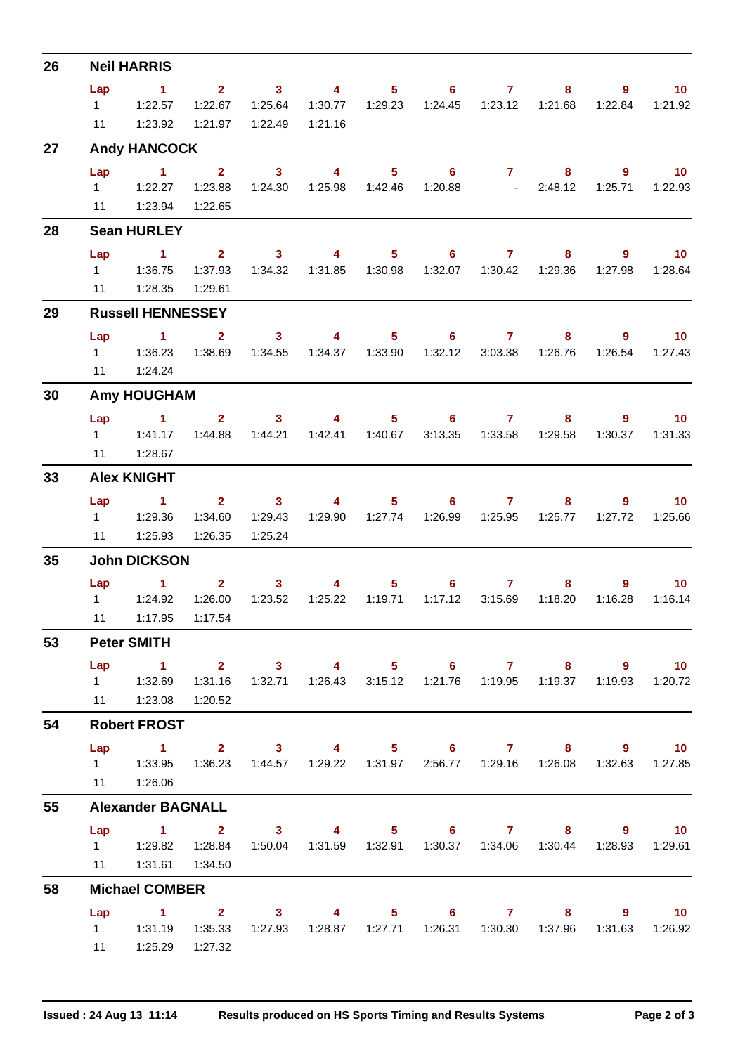| 26 |                | <b>Neil HARRIS</b>                                                                                    |              |                                                  |                         |                  |                   |                                   |                                      |                |                  |
|----|----------------|-------------------------------------------------------------------------------------------------------|--------------|--------------------------------------------------|-------------------------|------------------|-------------------|-----------------------------------|--------------------------------------|----------------|------------------|
|    | Lap            | $\mathbf{1}$                                                                                          |              | $2 \qquad \qquad 3 \qquad \qquad 4$              |                         |                  |                   | $5 \t\t 6 \t\t 7$                 | $8 -$                                | $9^{\circ}$    | 10 <sub>1</sub>  |
|    | $1 \quad \Box$ | 1:22.57                                                                                               | 1:22.67      | 1:25.64                                          | 1:30.77                 | 1:29.23          |                   |                                   | 1:21.68                              | 1:22.84        | 1:21.92          |
|    | 11             | 1:23.92                                                                                               | 1:21.97      | 1:22.49                                          | 1:21.16                 |                  |                   |                                   |                                      |                |                  |
| 27 |                | <b>Andy HANCOCK</b>                                                                                   |              |                                                  |                         |                  |                   |                                   |                                      |                |                  |
|    | Lap            | $\sim$ 1                                                                                              | $2^{\circ}$  | $\overline{\mathbf{3}}$                          | $\overline{\mathbf{4}}$ |                  | $5^{\circ}$       | $6 \qquad \qquad 7 \qquad \qquad$ | $8 -$                                | $\overline{9}$ | $\overline{10}$  |
|    |                | $1 \quad 1:22.27$                                                                                     | 1:23.88      | 1:24.30                                          |                         |                  |                   |                                   | 1:25.98  1:42.46  1:20.88  - 2:48.12 |                | 1:25.71  1:22.93 |
|    |                | 11  1:23.94  1:22.65                                                                                  |              |                                                  |                         |                  |                   |                                   |                                      |                |                  |
| 28 |                | <b>Sean HURLEY</b>                                                                                    |              |                                                  |                         |                  |                   |                                   |                                      |                |                  |
|    | Lap            | $\sim$ $\sim$ 1                                                                                       |              | $2 \qquad \qquad 3 \qquad \qquad 4$              |                         |                  |                   | $5 \t\t 6 \t\t 7$                 | 8                                    | $9^{\circ}$    | $\sim$ 10        |
|    |                |                                                                                                       | 1:37.93      | 1:34.32                                          |                         |                  |                   |                                   |                                      | 1:27.98        | 1:28.64          |
|    | 11             | 1:28.35                                                                                               | 1:29.61      |                                                  |                         |                  |                   |                                   |                                      |                |                  |
| 29 |                | <b>Russell HENNESSEY</b>                                                                              |              |                                                  |                         |                  |                   |                                   |                                      |                |                  |
|    | Lap            | $\blacktriangleleft$                                                                                  | $\mathbf{2}$ | 3 <sup>7</sup>                                   | $\sim$ 4                | $5 -$            |                   | $6 \overline{7}$                  | 8                                    | $9^{\circ}$    | 10 <sup>°</sup>  |
|    |                | $1 \t 1:36.23$                                                                                        |              | 1:38.69  1:34.55                                 |                         |                  |                   |                                   | 1:26.76                              | 1:26.54        | 1:27.43          |
|    |                | 11  1:24.24                                                                                           |              |                                                  |                         |                  |                   |                                   |                                      |                |                  |
| 30 |                | <b>Amy HOUGHAM</b>                                                                                    |              |                                                  |                         |                  |                   |                                   |                                      |                |                  |
|    |                | Lap 1                                                                                                 |              | $2 \qquad 3 \qquad 4 \qquad 5 \qquad 6 \qquad 7$ |                         |                  |                   |                                   | $8 -$                                |                | $9 \t 10$        |
|    |                | 1 1:41.17                                                                                             | 1:44.88      | 1:44.21                                          |                         | 1:42.41  1:40.67 |                   |                                   | 1:29.58                              | 1:30.37        | 1:31.33          |
|    | 11             | 1:28.67                                                                                               |              |                                                  |                         |                  |                   |                                   |                                      |                |                  |
| 33 |                | <b>Alex KNIGHT</b>                                                                                    |              |                                                  |                         |                  |                   |                                   |                                      |                |                  |
|    | Lap            | $\sim$ 1                                                                                              | $2^{\circ}$  | $\sim$ 3                                         | $\overline{4}$          | $5 -$            | 6                 | $\overline{7}$                    | 8                                    | $9^{\circ}$    | 10 <sub>1</sub>  |
|    |                | 1 1:29.36                                                                                             | 1:34.60      | 1:29.43                                          | 1:29.90                 | 1:27.74          |                   |                                   | 1:25.77                              | 1:27.72        | 1:25.66          |
|    |                | 11  1:25.93                                                                                           | 1:26.35      | 1:25.24                                          |                         |                  |                   |                                   |                                      |                |                  |
| 35 |                | <b>John DICKSON</b>                                                                                   |              |                                                  |                         |                  |                   |                                   |                                      |                |                  |
|    |                | Lap 1                                                                                                 |              | $2 \qquad \qquad 3$                              | $\overline{4}$          |                  | $5 \t\t 6 \t\t 7$ |                                   | $8 -$                                | 9              | $\sim$ 10        |
|    |                | $1 \quad 1:24.92$                                                                                     | 1:26.00      | 1:23.52                                          | 1:25.22                 | 1:19.71          | 1:17.12           | 3:15.69                           | 1:18.20                              | 1:16.28        | 1:16.14          |
|    |                | 11  1:17.95  1:17.54                                                                                  |              |                                                  |                         |                  |                   |                                   |                                      |                |                  |
| 53 |                | <b>Peter SMITH</b>                                                                                    |              |                                                  |                         |                  |                   |                                   |                                      |                |                  |
|    |                | Lap 1 2 3 4 5 6 7 8 9 10                                                                              |              |                                                  |                         |                  |                   |                                   |                                      |                |                  |
|    |                | 1   1:32.69   1:31.16   1:32.71   1:26.43   3:15.12   1:21.76   1:19.95   1:19.37   1:19.93   1:20.72 |              |                                                  |                         |                  |                   |                                   |                                      |                |                  |
|    |                | 11   1:23.08   1:20.52                                                                                |              |                                                  |                         |                  |                   |                                   |                                      |                |                  |
| 54 |                | <b>Robert FROST</b>                                                                                   |              |                                                  |                         |                  |                   |                                   |                                      |                |                  |
|    |                | Lap 1 2 3 4 5 6 7 8 9 10                                                                              |              |                                                  |                         |                  |                   |                                   |                                      |                |                  |
|    |                | 1   1:33.95   1:36.23   1:44.57   1:29.22   1:31.97   2:56.77   1:29.16   1:26.08   1:32.63   1:27.85 |              |                                                  |                         |                  |                   |                                   |                                      |                |                  |
|    |                | 11  1:26.06                                                                                           |              |                                                  |                         |                  |                   |                                   |                                      |                |                  |
| 55 |                | <b>Alexander BAGNALL</b>                                                                              |              |                                                  |                         |                  |                   |                                   |                                      |                |                  |
|    |                | Lap 1 2 3 4 5 6 7 8 9 10                                                                              |              |                                                  |                         |                  |                   |                                   |                                      |                |                  |
|    |                | 1   1:29.82   1:28.84   1:50.04   1:31.59   1:32.91   1:30.37   1:34.06   1:30.44   1:28.93   1:29.61 |              |                                                  |                         |                  |                   |                                   |                                      |                |                  |
|    |                | 11  1:31.61  1:34.50                                                                                  |              |                                                  |                         |                  |                   |                                   |                                      |                |                  |
| 58 |                | <b>Michael COMBER</b>                                                                                 |              |                                                  |                         |                  |                   |                                   |                                      |                |                  |
|    |                | Lap 1 2 3 4 5 6 7 8 9 10                                                                              |              |                                                  |                         |                  |                   |                                   |                                      |                |                  |
|    |                | 1   1:31.19   1:35.33   1:27.93   1:28.87   1:27.71   1:26.31   1:30.30   1:37.96   1:31.63   1:26.92 |              |                                                  |                         |                  |                   |                                   |                                      |                |                  |
|    |                | 11   1:25.29   1:27.32                                                                                |              |                                                  |                         |                  |                   |                                   |                                      |                |                  |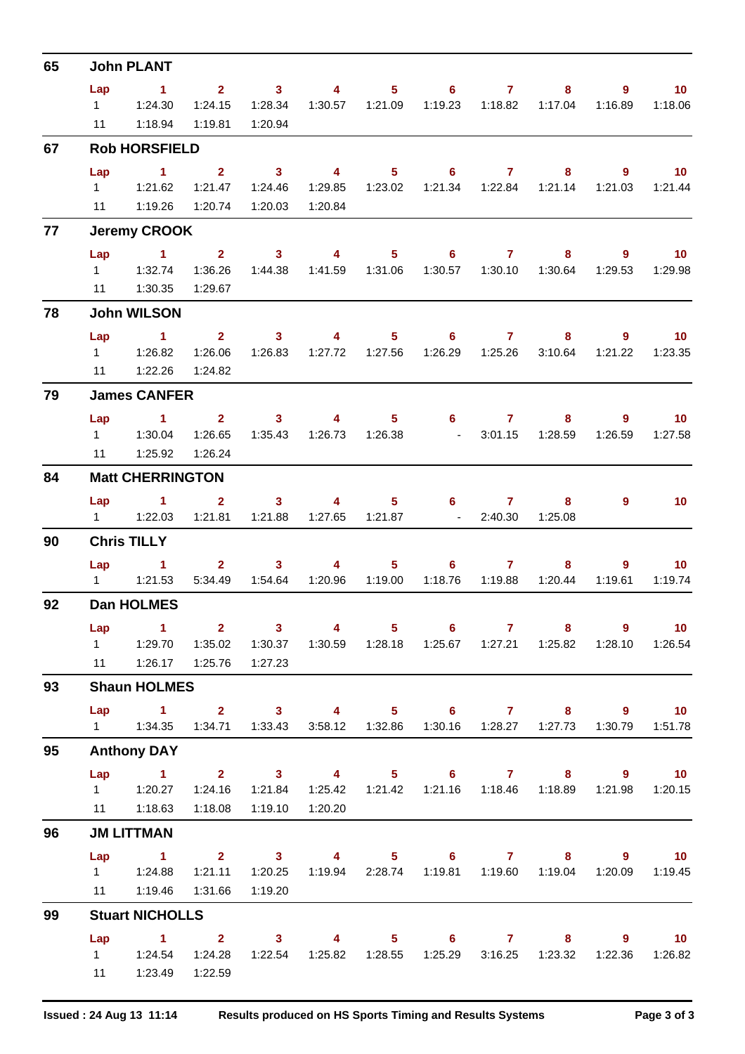| 65 |                | <b>John PLANT</b>                                                        |                         |                                                                                                                                                                                                                                                                                                                                                                                                                |                           |                |                                                                        |                 |                                       |                        |                              |
|----|----------------|--------------------------------------------------------------------------|-------------------------|----------------------------------------------------------------------------------------------------------------------------------------------------------------------------------------------------------------------------------------------------------------------------------------------------------------------------------------------------------------------------------------------------------------|---------------------------|----------------|------------------------------------------------------------------------|-----------------|---------------------------------------|------------------------|------------------------------|
|    | Lap            | $\sim$ 1                                                                 |                         | $2 \t 3$                                                                                                                                                                                                                                                                                                                                                                                                       | $\sim$ 4                  |                | $5 \t\t 6 \t\t 7$                                                      |                 | 8                                     | 9                      | 10                           |
|    | $1 \quad \Box$ | 1:24.30                                                                  | 1:24.15                 | 1:28.34                                                                                                                                                                                                                                                                                                                                                                                                        |                           |                |                                                                        |                 | 1:17.04                               | 1:16.89                | 1:18.06                      |
|    | 11             | 1:18.94                                                                  | 1:19.81                 | 1:20.94                                                                                                                                                                                                                                                                                                                                                                                                        |                           |                |                                                                        |                 |                                       |                        |                              |
| 67 |                | <b>Rob HORSFIELD</b>                                                     |                         |                                                                                                                                                                                                                                                                                                                                                                                                                |                           |                |                                                                        |                 |                                       |                        |                              |
|    | Lap            | $\sim$ 1                                                                 | $2^{\circ}$             | $\overline{\mathbf{3}}$                                                                                                                                                                                                                                                                                                                                                                                        | $\overline{\mathbf{4}}$   | $5 -$          | $6 -$                                                                  | $\sim$ 7 $\sim$ | 8                                     | $\overline{9}$         | $\overline{10}$              |
|    |                |                                                                          | 1:21.47                 | 1:24.46                                                                                                                                                                                                                                                                                                                                                                                                        |                           |                |                                                                        |                 |                                       | 1:21.03                | 1:21.44                      |
|    |                | 11 1:19.26                                                               | 1:20.74                 | 1:20.03                                                                                                                                                                                                                                                                                                                                                                                                        | 1:20.84                   |                |                                                                        |                 |                                       |                        |                              |
| 77 |                | <b>Jeremy CROOK</b>                                                      |                         |                                                                                                                                                                                                                                                                                                                                                                                                                |                           |                |                                                                        |                 |                                       |                        |                              |
|    | Lap            | $\sim$ 1                                                                 |                         |                                                                                                                                                                                                                                                                                                                                                                                                                | $2 \t 3 \t 4$             |                | $5 \t\t 6 \t\t 7$                                                      |                 | 8                                     | 9                      | $\blacksquare$ 10            |
|    |                | 1.32.74                                                                  | 1:36.26                 | 1:44.38                                                                                                                                                                                                                                                                                                                                                                                                        | 1:41.59  1:31.06          |                |                                                                        |                 | 1:30.64                               | 1:29.53                | 1:29.98                      |
| 78 | 11             | 1:30.35<br><b>John WILSON</b>                                            | 1:29.67                 |                                                                                                                                                                                                                                                                                                                                                                                                                |                           |                |                                                                        |                 |                                       |                        |                              |
|    |                |                                                                          |                         |                                                                                                                                                                                                                                                                                                                                                                                                                |                           |                |                                                                        |                 |                                       |                        |                              |
|    | Lap            | $\blacktriangleleft$                                                     | $2^{\circ}$<br>1:26.06  | $3 -$                                                                                                                                                                                                                                                                                                                                                                                                          | $\overline{4}$            |                | $5^{\circ}$<br>$6 -$<br>1:26.83  1:27.72  1:27.56  1:26.29  1:25.26    |                 | $7 \pm 1$<br>8<br>3:10.64             | $9^{\circ}$<br>1:21.22 | 10 <sup>°</sup><br>1:23.35   |
|    |                | 11  1:22.26                                                              | 1:24.82                 |                                                                                                                                                                                                                                                                                                                                                                                                                |                           |                |                                                                        |                 |                                       |                        |                              |
| 79 |                | <b>James CANFER</b>                                                      |                         |                                                                                                                                                                                                                                                                                                                                                                                                                |                           |                |                                                                        |                 |                                       |                        |                              |
|    | Lap            | $\sim$ $\sim$ 1                                                          | $2 \t 3$                |                                                                                                                                                                                                                                                                                                                                                                                                                | $\overline{4}$            | $5 -$          |                                                                        | $6\qquad 7$     | 8                                     | 9                      | $\blacksquare$ 10            |
|    |                |                                                                          | 1:26.65                 | 1:35.43                                                                                                                                                                                                                                                                                                                                                                                                        |                           |                | 1:26.73  1:26.38  - 3:01.15                                            |                 | 1:28.59                               | 1:26.59                | 1:27.58                      |
|    | 11             | 1:25.92                                                                  | 1:26.24                 |                                                                                                                                                                                                                                                                                                                                                                                                                |                           |                |                                                                        |                 |                                       |                        |                              |
| 84 |                | <b>Matt CHERRINGTON</b>                                                  |                         |                                                                                                                                                                                                                                                                                                                                                                                                                |                           |                |                                                                        |                 |                                       |                        |                              |
|    | Lap            | $\blacktriangleleft$                                                     | $\overline{2}$          | 3 <sup>1</sup>                                                                                                                                                                                                                                                                                                                                                                                                 | $\overline{4}$            |                | $5 \t\t 6$                                                             | 7 <sup>7</sup>  | 8                                     | 9                      | 10 <sup>°</sup>              |
|    |                | 1    1:22.03    1:21.81    1:21.88    1:27.65    1:21.87    -    2:40.30 |                         |                                                                                                                                                                                                                                                                                                                                                                                                                |                           |                |                                                                        |                 | 1:25.08                               |                        |                              |
| 90 |                | <b>Chris TILLY</b>                                                       |                         |                                                                                                                                                                                                                                                                                                                                                                                                                |                           |                |                                                                        |                 |                                       |                        |                              |
|    | Lap            | $\sim$ $-1$                                                              |                         | $\overline{\mathbf{2}}$ and $\overline{\mathbf{2}}$ and $\overline{\mathbf{2}}$ and $\overline{\mathbf{2}}$ and $\overline{\mathbf{2}}$ and $\overline{\mathbf{2}}$ and $\overline{\mathbf{2}}$ and $\overline{\mathbf{2}}$ and $\overline{\mathbf{2}}$ and $\overline{\mathbf{2}}$ and $\overline{\mathbf{2}}$ and $\overline{\mathbf{2}}$ and $\overline{\mathbf{2}}$ and $\overline{\mathbf{2}}$ a<br>$3 -$ | $\overline{4}$            | $5 -$          | $6 -$                                                                  |                 | $7 \quad \overline{\phantom{1}}$<br>8 | $9^{\circ}$            | 10 <sup>°</sup>              |
|    |                |                                                                          |                         |                                                                                                                                                                                                                                                                                                                                                                                                                | 5:34.49  1:54.64  1:20.96 | 1:19.00        | 1:18.76                                                                | 1:19.88         | 1:20.44                               | 1:19.61                | 1:19.74                      |
| 92 |                | <b>Dan HOLMES</b>                                                        |                         |                                                                                                                                                                                                                                                                                                                                                                                                                |                           |                |                                                                        |                 |                                       |                        |                              |
|    | Lap            | $\sim$ 1                                                                 | $\overline{\mathbf{2}}$ | $\overline{\mathbf{3}}$                                                                                                                                                                                                                                                                                                                                                                                        | $\overline{\mathbf{4}}$   | 5 <sub>1</sub> | $6^{\circ}$                                                            | $\overline{7}$  | 8                                     | $\overline{9}$         | 10                           |
|    |                | 1   1:29.70   1:35.02   1:30.37                                          |                         |                                                                                                                                                                                                                                                                                                                                                                                                                |                           |                |                                                                        |                 |                                       |                        | 1:28.10  1:26.54             |
|    |                | 11   1:26.17   1:25.76                                                   |                         | 1:27.23                                                                                                                                                                                                                                                                                                                                                                                                        |                           |                |                                                                        |                 |                                       |                        |                              |
| 93 |                | <b>Shaun HOLMES</b>                                                      |                         |                                                                                                                                                                                                                                                                                                                                                                                                                |                           |                |                                                                        |                 |                                       |                        |                              |
|    | Lap            | 1 2 3 4 5 6 7 8 9<br>1   1:34.35   1:34.71   1:33.43   3:58.12   1:32.86 |                         |                                                                                                                                                                                                                                                                                                                                                                                                                |                           |                |                                                                        |                 |                                       | 1:30.79                | $\blacksquare$ 10<br>1:51.78 |
|    |                |                                                                          |                         |                                                                                                                                                                                                                                                                                                                                                                                                                |                           |                |                                                                        |                 |                                       |                        |                              |
| 95 |                | <b>Anthony DAY</b>                                                       |                         |                                                                                                                                                                                                                                                                                                                                                                                                                |                           |                |                                                                        |                 |                                       |                        |                              |
|    |                | Lap 1 2 3 4 5 6 7 8 9 10                                                 |                         |                                                                                                                                                                                                                                                                                                                                                                                                                |                           |                |                                                                        |                 |                                       |                        |                              |
|    |                | 11  1:18.63                                                              | 1:24.16<br>1:18.08      | 1:21.84<br>1:19.10                                                                                                                                                                                                                                                                                                                                                                                             | 1:20.20                   |                | 1:25.42  1:21.42  1:21.16  1:18.46  1:18.89  1:21.98  1:20.15          |                 |                                       |                        |                              |
| 96 |                | <b>JM LITTMAN</b>                                                        |                         |                                                                                                                                                                                                                                                                                                                                                                                                                |                           |                |                                                                        |                 |                                       |                        |                              |
|    | Lap            | $\sim$ 1                                                                 |                         | $2 \t 3$                                                                                                                                                                                                                                                                                                                                                                                                       |                           |                | 4 5 6 7 8 9 10                                                         |                 |                                       |                        |                              |
|    |                |                                                                          | 1:21.11  1:20.25        |                                                                                                                                                                                                                                                                                                                                                                                                                |                           |                | 1:19.94  2:28.74  1:19.81  1:19.60  1:19.04  1:20.09  1:19.45          |                 |                                       |                        |                              |
|    |                | 11  1:19.46                                                              | 1:31.66                 | 1:19.20                                                                                                                                                                                                                                                                                                                                                                                                        |                           |                |                                                                        |                 |                                       |                        |                              |
| 99 |                | <b>Stuart NICHOLLS</b>                                                   |                         |                                                                                                                                                                                                                                                                                                                                                                                                                |                           |                |                                                                        |                 |                                       |                        |                              |
|    | Lap            | $1 \t 2 \t 3$                                                            |                         |                                                                                                                                                                                                                                                                                                                                                                                                                |                           |                | 4 5 6 7 8 9 10                                                         |                 |                                       |                        |                              |
|    |                | 1   1:24.54   1:24.28                                                    |                         |                                                                                                                                                                                                                                                                                                                                                                                                                |                           |                | 1:22.54  1:25.82  1:28.55  1:25.29  3:16.25  1:23.32  1:22.36  1:26.82 |                 |                                       |                        |                              |
|    | 11             |                                                                          | 1:23.49  1:22.59        |                                                                                                                                                                                                                                                                                                                                                                                                                |                           |                |                                                                        |                 |                                       |                        |                              |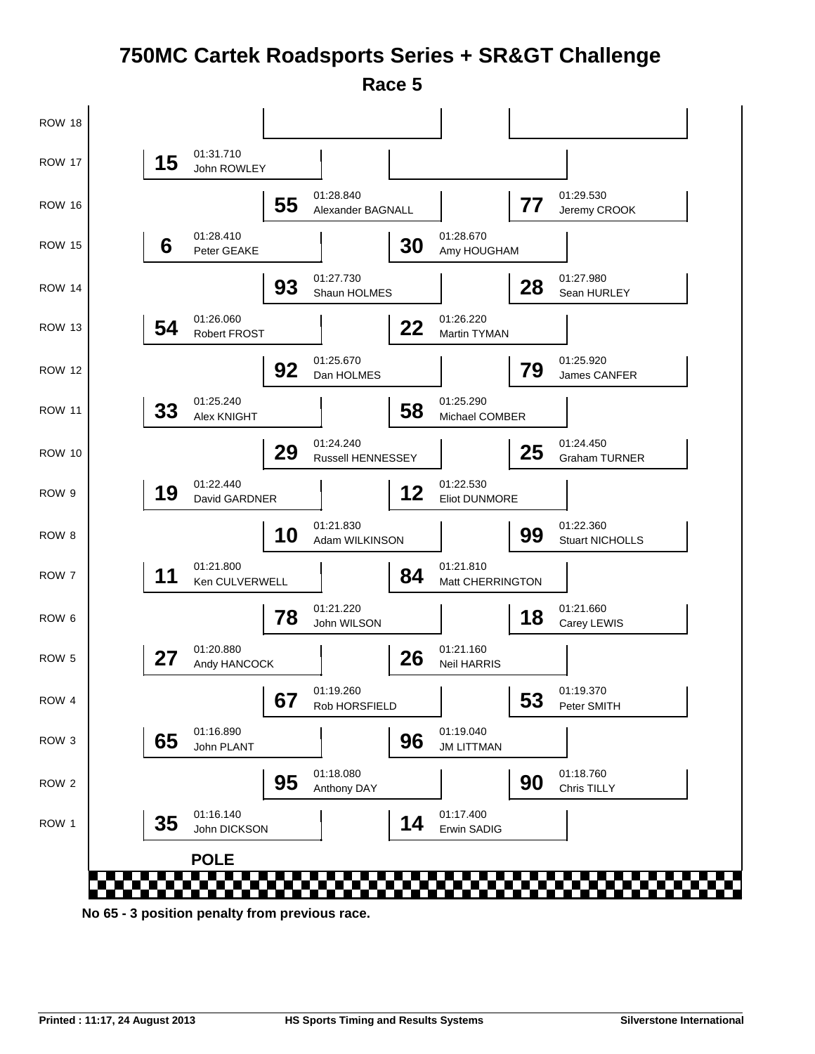### **750MC Cartek Roadsports Series + SR&GT Challenge Race 5**



**No 65 - 3 position penalty from previous race.**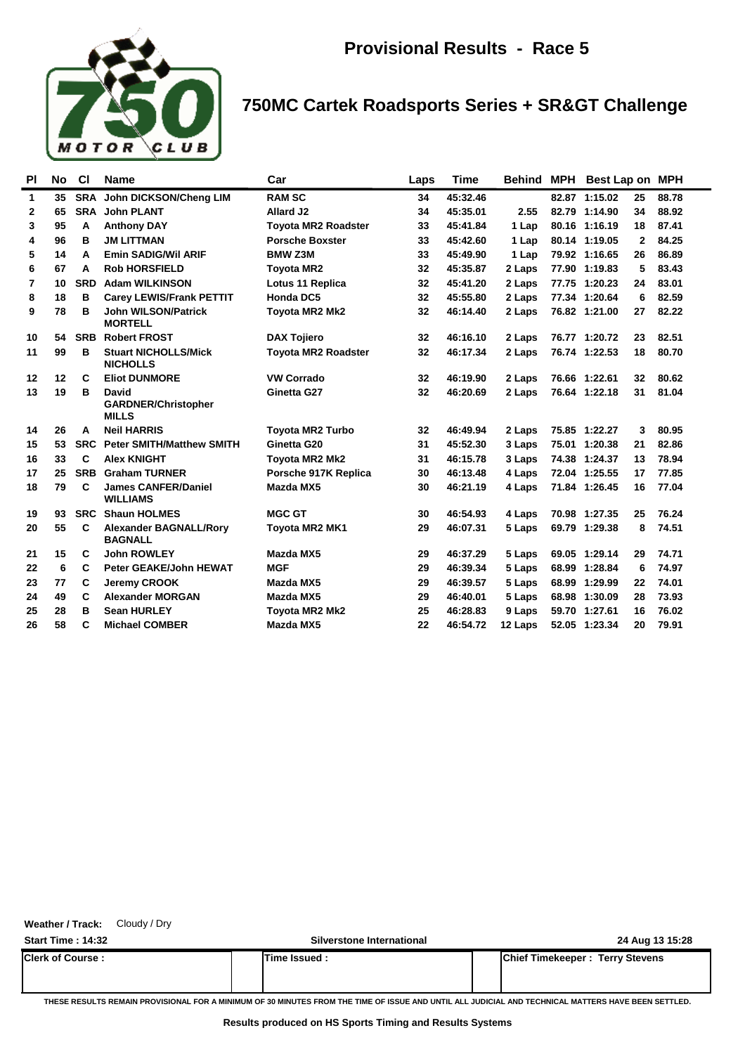

## **750MC Cartek Roadsports Series + SR&GT Challenge**

| PI             | No | <b>CI</b>  | <b>Name</b>                                         | Car                        | Laps | Time     | Behind  | MPH | Best Lap on MPH |              |       |
|----------------|----|------------|-----------------------------------------------------|----------------------------|------|----------|---------|-----|-----------------|--------------|-------|
| $\mathbf{1}$   | 35 | <b>SRA</b> | John DICKSON/Cheng LIM                              | <b>RAM SC</b>              | 34   | 45:32.46 |         |     | 82.87 1:15.02   | 25           | 88.78 |
| 2              | 65 | <b>SRA</b> | <b>John PLANT</b>                                   | Allard J2                  | 34   | 45:35.01 | 2.55    |     | 82.79 1:14.90   | 34           | 88.92 |
| 3              | 95 | A          | <b>Anthony DAY</b>                                  | <b>Toyota MR2 Roadster</b> | 33   | 45:41.84 | 1 Lap   |     | 80.16 1:16.19   | 18           | 87.41 |
| 4              | 96 | в          | <b>JM LITTMAN</b>                                   | <b>Porsche Boxster</b>     | 33   | 45:42.60 | 1 Lap   |     | 80.14 1:19.05   | $\mathbf{2}$ | 84.25 |
| 5              | 14 | A          | <b>Emin SADIG/Wil ARIF</b>                          | <b>BMW Z3M</b>             | 33   | 45:49.90 | 1 Lap   |     | 79.92 1:16.65   | 26           | 86.89 |
| 6              | 67 | A          | <b>Rob HORSFIELD</b>                                | <b>Toyota MR2</b>          | 32   | 45:35.87 | 2 Laps  |     | 77.90 1:19.83   | 5            | 83.43 |
| $\overline{7}$ | 10 | <b>SRD</b> | <b>Adam WILKINSON</b>                               | <b>Lotus 11 Replica</b>    | 32   | 45:41.20 | 2 Laps  |     | 77.75 1:20.23   | 24           | 83.01 |
| 8              | 18 | в          | <b>Carey LEWIS/Frank PETTIT</b>                     | Honda DC5                  | 32   | 45:55.80 | 2 Laps  |     | 77.34 1:20.64   | 6            | 82.59 |
| 9              | 78 | в          | <b>John WILSON/Patrick</b><br><b>MORTELL</b>        | <b>Toyota MR2 Mk2</b>      | 32   | 46:14.40 | 2 Laps  |     | 76.82 1:21.00   | 27           | 82.22 |
| 10             | 54 | <b>SRB</b> | <b>Robert FROST</b>                                 | <b>DAX Tojiero</b>         | 32   | 46:16.10 | 2 Laps  |     | 76.77 1:20.72   | 23           | 82.51 |
| 11             | 99 | B          | <b>Stuart NICHOLLS/Mick</b><br><b>NICHOLLS</b>      | <b>Toyota MR2 Roadster</b> | 32   | 46:17.34 | 2 Laps  |     | 76.74 1:22.53   | 18           | 80.70 |
| 12             | 12 | C          | <b>Eliot DUNMORE</b>                                | <b>VW Corrado</b>          | 32   | 46:19.90 | 2 Laps  |     | 76.66 1:22.61   | 32           | 80.62 |
| 13             | 19 | в          | David<br><b>GARDNER/Christopher</b><br><b>MILLS</b> | Ginetta G27                | 32   | 46:20.69 | 2 Laps  |     | 76.64 1:22.18   | 31           | 81.04 |
| 14             | 26 | A          | <b>Neil HARRIS</b>                                  | <b>Toyota MR2 Turbo</b>    | 32   | 46:49.94 | 2 Laps  |     | 75.85 1:22.27   | 3            | 80.95 |
| 15             | 53 | <b>SRC</b> | <b>Peter SMITH/Matthew SMITH</b>                    | Ginetta G20                | 31   | 45:52.30 | 3 Laps  |     | 75.01 1:20.38   | 21           | 82.86 |
| 16             | 33 | C          | <b>Alex KNIGHT</b>                                  | <b>Toyota MR2 Mk2</b>      | 31   | 46:15.78 | 3 Laps  |     | 74.38 1:24.37   | 13           | 78.94 |
| 17             | 25 | <b>SRB</b> | <b>Graham TURNER</b>                                | Porsche 917K Replica       | 30   | 46:13.48 | 4 Laps  |     | 72.04 1:25.55   | 17           | 77.85 |
| 18             | 79 | C          | <b>James CANFER/Daniel</b><br><b>WILLIAMS</b>       | Mazda MX5                  | 30   | 46:21.19 | 4 Laps  |     | 71.84 1:26.45   | 16           | 77.04 |
| 19             | 93 | <b>SRC</b> | <b>Shaun HOLMES</b>                                 | <b>MGC GT</b>              | 30   | 46:54.93 | 4 Laps  |     | 70.98 1:27.35   | 25           | 76.24 |
| 20             | 55 | C          | <b>Alexander BAGNALL/Rory</b><br><b>BAGNALL</b>     | <b>Toyota MR2 MK1</b>      | 29   | 46:07.31 | 5 Laps  |     | 69.79 1:29.38   | 8            | 74.51 |
| 21             | 15 | C          | <b>John ROWLEY</b>                                  | Mazda MX5                  | 29   | 46:37.29 | 5 Laps  |     | 69.05 1:29.14   | 29           | 74.71 |
| 22             | 6  | C          | <b>Peter GEAKE/John HEWAT</b>                       | <b>MGF</b>                 | 29   | 46:39.34 | 5 Laps  |     | 68.99 1:28.84   | 6            | 74.97 |
| 23             | 77 | C          | <b>Jeremy CROOK</b>                                 | Mazda MX5                  | 29   | 46:39.57 | 5 Laps  |     | 68.99 1:29.99   | 22           | 74.01 |
| 24             | 49 | C          | <b>Alexander MORGAN</b>                             | Mazda MX5                  | 29   | 46:40.01 | 5 Laps  |     | 68.98 1:30.09   | 28           | 73.93 |
| 25             | 28 | B          | <b>Sean HURLEY</b>                                  | <b>Toyota MR2 Mk2</b>      | 25   | 46:28.83 | 9 Laps  |     | 59.70 1:27.61   | 16           | 76.02 |
| 26             | 58 | C          | <b>Michael COMBER</b>                               | Mazda MX5                  | 22   | 46:54.72 | 12 Laps |     | 52.05 1:23.34   | 20           | 79.91 |

#### **Weather / Track:** Cloudy / Dry

| <b>Start Time: 14:32</b> | Silverstone International | 24 Aug 13 15:28                        |
|--------------------------|---------------------------|----------------------------------------|
| <b>Clerk of Course:</b>  | Time Issued:              | <b>Chief Timekeeper: Terry Stevens</b> |
|                          |                           |                                        |

**THESE RESULTS REMAIN PROVISIONAL FOR A MINIMUM OF 30 MINUTES FROM THE TIME OF ISSUE AND UNTIL ALL JUDICIAL AND TECHNICAL MATTERS HAVE BEEN SETTLED.**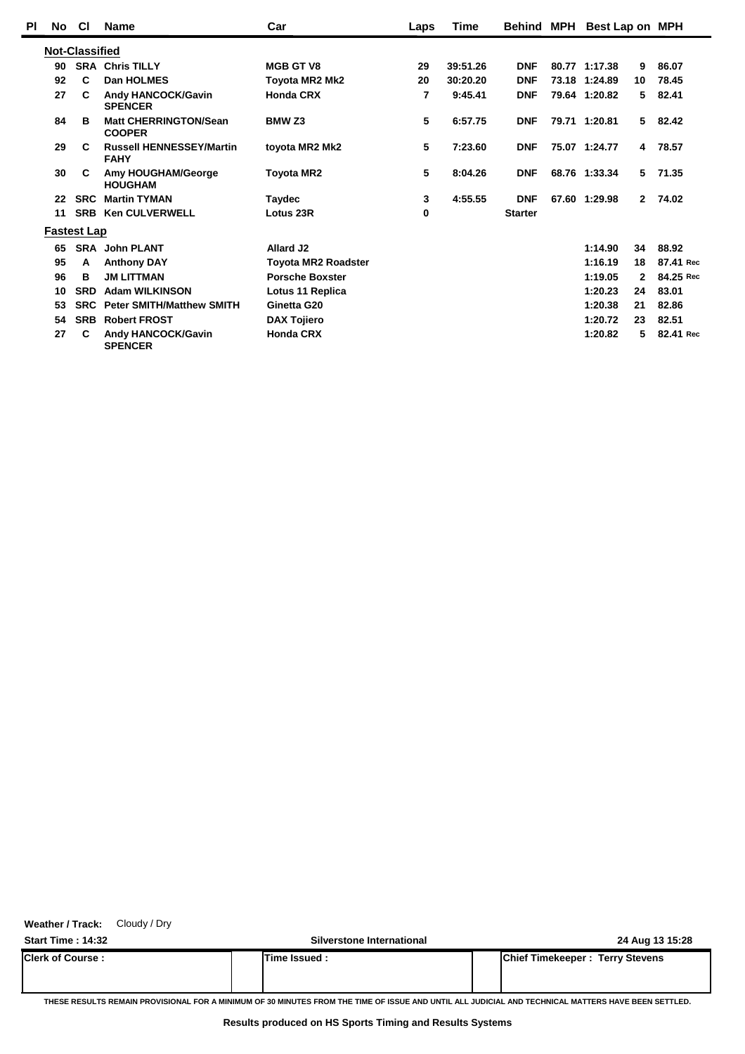| PI | No | <b>CI</b>             | <b>Name</b>                                    | Car                        | Laps | Time     | <b>Behind MPH</b> | Best Lap on MPH |              |           |
|----|----|-----------------------|------------------------------------------------|----------------------------|------|----------|-------------------|-----------------|--------------|-----------|
|    |    | <b>Not-Classified</b> |                                                |                            |      |          |                   |                 |              |           |
|    | 90 |                       | <b>SRA Chris TILLY</b>                         | <b>MGB GT V8</b>           | 29   | 39:51.26 | <b>DNF</b>        | 80.77 1:17.38   | 9            | 86.07     |
|    | 92 | C                     | Dan HOLMES                                     | Toyota MR2 Mk2             | 20   | 30:20.20 | <b>DNF</b>        | 73.18 1:24.89   | 10           | 78.45     |
|    | 27 | C                     | <b>Andy HANCOCK/Gavin</b><br><b>SPENCER</b>    | <b>Honda CRX</b>           | 7    | 9:45.41  | <b>DNF</b>        | 79.64 1:20.82   | 5.           | 82.41     |
|    | 84 | в                     | <b>Matt CHERRINGTON/Sean</b><br><b>COOPER</b>  | <b>BMW Z3</b>              | 5    | 6:57.75  | <b>DNF</b>        | 79.71 1:20.81   | 5.           | 82.42     |
|    | 29 | C                     | <b>Russell HENNESSEY/Martin</b><br><b>FAHY</b> | toyota MR2 Mk2             | 5    | 7:23.60  | <b>DNF</b>        | 75.07 1:24.77   | 4            | 78.57     |
|    | 30 | C                     | Amy HOUGHAM/George<br><b>HOUGHAM</b>           | Toyota MR2                 | 5    | 8:04.26  | <b>DNF</b>        | 68.76 1:33.34   | 5            | 71.35     |
|    | 22 | <b>SRC</b>            | <b>Martin TYMAN</b>                            | Taydec                     | 3    | 4:55.55  | <b>DNF</b>        | 67.60 1:29.98   | $2^{\circ}$  | 74.02     |
|    | 11 |                       | <b>SRB Ken CULVERWELL</b>                      | Lotus 23R                  | 0    |          | <b>Starter</b>    |                 |              |           |
|    |    | <b>Fastest Lap</b>    |                                                |                            |      |          |                   |                 |              |           |
|    | 65 |                       | <b>SRA</b> John PLANT                          | Allard J2                  |      |          |                   | 1:14.90         | 34           | 88.92     |
|    | 95 | A                     | <b>Anthony DAY</b>                             | <b>Toyota MR2 Roadster</b> |      |          |                   | 1:16.19         | 18           | 87.41 Rec |
|    | 96 | в                     | <b>JM LITTMAN</b>                              | <b>Porsche Boxster</b>     |      |          |                   | 1:19.05         | $\mathbf{2}$ | 84.25 Rec |
|    | 10 | <b>SRD</b>            | <b>Adam WILKINSON</b>                          | Lotus 11 Replica           |      |          |                   | 1:20.23         | 24           | 83.01     |
|    | 53 | <b>SRC</b>            | <b>Peter SMITH/Matthew SMITH</b>               | Ginetta G20                |      |          |                   | 1:20.38         | 21           | 82.86     |
|    | 54 | <b>SRB</b>            | <b>Robert FROST</b>                            | <b>DAX Tojiero</b>         |      |          |                   | 1:20.72         | 23           | 82.51     |
|    | 27 | C                     | Andy HANCOCK/Gavin<br><b>SPENCER</b>           | <b>Honda CRX</b>           |      |          |                   | 1:20.82         | 5            | 82.41 Rec |

**Weather / Track:** Cloudy / Dry

**Start Time : 14:32 Silverstone International 24 Aug 13 15:28 Clerk of Course : Time Issued : Chief Timekeeper : Terry Stevens**

**THESE RESULTS REMAIN PROVISIONAL FOR A MINIMUM OF 30 MINUTES FROM THE TIME OF ISSUE AND UNTIL ALL JUDICIAL AND TECHNICAL MATTERS HAVE BEEN SETTLED.**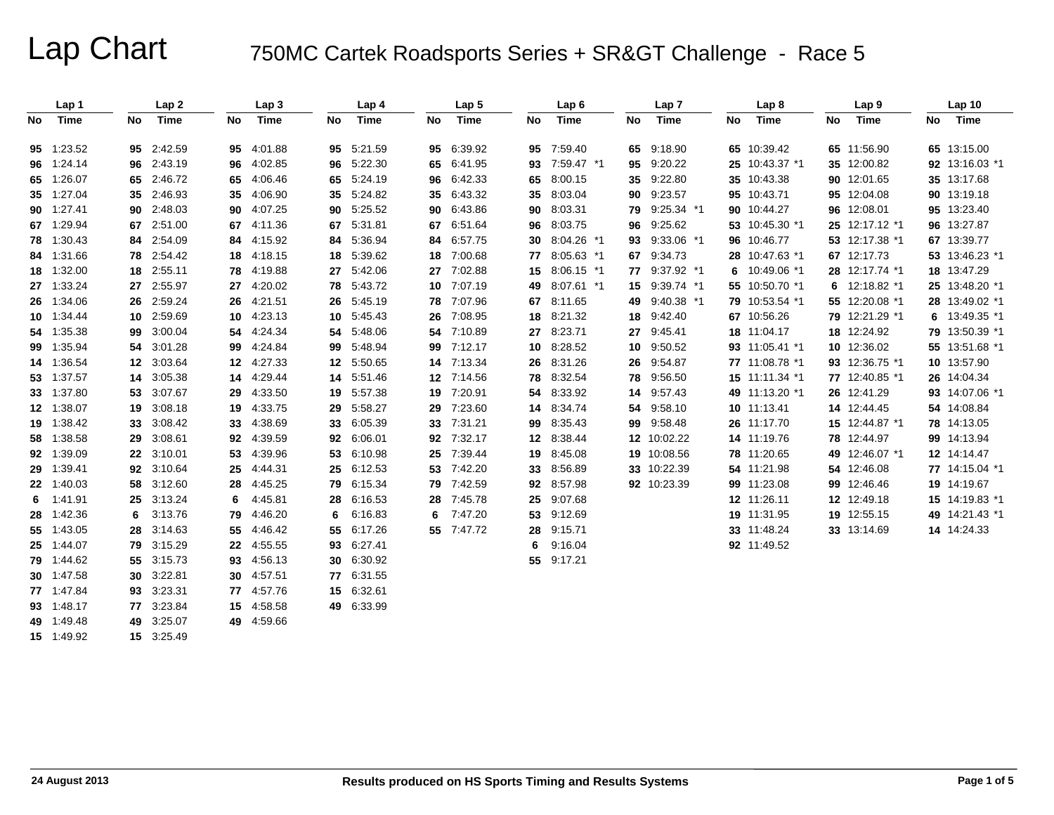|     | Lap 1      |    | Lap <sub>2</sub> |    | Lap <sub>3</sub> |    | Lap 4      |    | Lap <sub>5</sub> |    | Lap <sub>6</sub> |    | Lap <sub>7</sub> |    | Lap <sub>8</sub> |    | Lap <sub>9</sub> |    | Lap <sub>10</sub> |
|-----|------------|----|------------------|----|------------------|----|------------|----|------------------|----|------------------|----|------------------|----|------------------|----|------------------|----|-------------------|
| No. | Time       | No | Time             | No | Time             | No | Time       | No | Time             | No | Time             | No | Time             | No | Time             | No | Time             | No | Time              |
|     | 95 1:23.52 |    | 95 2:42.59       | 95 | 4:01.88          | 95 | 5:21.59    |    | 95 6:39.92       |    | 95 7:59.40       |    | 65 9:18.90       |    | 65 10:39.42      |    | 65 11:56.90      |    | 65 13:15.00       |
|     | 96 1:24.14 |    | 96 2:43.19       | 96 | 4:02.85          | 96 | 5:22.30    |    | 65 6:41.95       |    | 93 7:59.47 *1    |    | 95 9:20.22       |    | 25 10:43.37 *1   |    | 35 12:00.82      |    | 92 13:16.03 *1    |
|     | 65 1:26.07 |    | 65 2:46.72       | 65 | 4:06.46          | 65 | 5:24.19    |    | 96 6:42.33       | 65 | 8:00.15          |    | 35 9:22.80       |    | 35 10:43.38      |    | 90 12:01.65      |    | 35 13:17.68       |
|     | 35 1:27.04 |    | 35 2:46.93       | 35 | 4:06.90          | 35 | 5:24.82    |    | 35 6:43.32       | 35 | 8:03.04          |    | 90 9:23.57       |    | 95 10:43.71      |    | 95 12:04.08      |    | 90 13:19.18       |
|     | 90 1:27.41 |    | 90 2:48.03       | 90 | 4:07.25          | 90 | 5:25.52    | 90 | 6:43.86          | 90 | 8:03.31          | 79 | $9:25.34$ *1     |    | 90 10:44.27      |    | 96 12:08.01      |    | 95 13:23.40       |
|     | 67 1:29.94 |    | 67 2:51.00       | 67 | 4:11.36          | 67 | 5:31.81    |    | 67 6:51.64       | 96 | 8:03.75          | 96 | 9:25.62          |    | 53 10:45.30 *1   |    | 25 12:17.12 *1   |    | 96 13:27.87       |
|     | 78 1:30.43 |    | 84 2:54.09       | 84 | 4:15.92          | 84 | 5:36.94    | 84 | 6:57.75          | 30 | 8:04.26 *1       | 93 | 9:33.06 *1       | 96 | 10:46.77         |    | 53 12:17.38 *1   |    | 67 13:39.77       |
|     | 84 1:31.66 |    | 78 2:54.42       | 18 | 4:18.15          | 18 | 5:39.62    | 18 | 7:00.68          | 77 | 8:05.63 *1       |    | 67 9:34.73       | 28 | 10:47.63 *1      |    | 67 12:17.73      |    | 53 13:46.23 *1    |
|     | 18 1:32.00 |    | 18 2:55.11       | 78 | 4:19.88          | 27 | 5:42.06    |    | 27 7:02.88       | 15 | $8:06.15$ *1     |    | 77 9:37.92 *1    | 6  | 10:49.06 *1      |    | 28 12:17.74 *1   |    | 18 13:47.29       |
|     | 27 1:33.24 |    | 27 2:55.97       | 27 | 4:20.02          | 78 | 5:43.72    | 10 | 7:07.19          | 49 | 8:07.61 *1       |    | 15 9:39.74 *1    | 55 | 10:50.70 *1      | 6  | 12:18.82 *1      |    | 25 13:48.20 *1    |
|     | 26 1:34.06 |    | 26 2:59.24       | 26 | 4:21.51          | 26 | 5:45.19    |    | 78 7:07.96       | 67 | 8:11.65          |    | 49 9:40.38 *1    | 79 | 10:53.54 *1      |    | 55 12:20.08 *1   |    | 28 13:49.02 *1    |
|     | 10 1:34.44 |    | 10 2:59.69       | 10 | 4:23.13          | 10 | 5:45.43    | 26 | 7:08.95          | 18 | 8:21.32          |    | 18 9:42.40       |    | 67 10:56.26      |    | 79 12:21.29 *1   |    | 6 13:49.35 *1     |
|     | 54 1:35.38 |    | 99 3:00.04       | 54 | 4:24.34          | 54 | 5:48.06    |    | 54 7:10.89       | 27 | 8:23.71          | 27 | 9:45.41          |    | 18 11:04.17      |    | 18 12:24.92      |    | 79 13:50.39 *1    |
|     | 99 1:35.94 |    | 54 3:01.28       | 99 | 4:24.84          | 99 | 5:48.94    |    | 99 7:12.17       |    | 10 8:28.52       |    | 10 9:50.52       |    | 93 11:05.41 *1   |    | 10 12:36.02      |    | 55 13:51.68 *1    |
|     | 14 1:36.54 |    | 12 3:03.64       | 12 | 4:27.33          | 12 | 5:50.65    |    | 14 7:13.34       |    | 26 8:31.26       |    | 26 9:54.87       |    | 77 11:08.78 *1   |    | 93 12:36.75 *1   |    | 10 13:57.90       |
|     | 53 1:37.57 |    | 14 3:05.38       | 14 | 4:29.44          | 14 | 5:51.46    |    | 12 7:14.56       | 78 | 8:32.54          |    | 78 9:56.50       |    | 15 11:11.34 *1   |    | 77 12:40.85 *1   |    | 26 14:04.34       |
|     | 33 1:37.80 |    | 53 3:07.67       | 29 | 4:33.50          | 19 | 5:57.38    | 19 | 7:20.91          | 54 | 8:33.92          |    | 14 9:57.43       | 49 | 11:13.20 *1      |    | 26 12:41.29      |    | 93 14:07.06 *1    |
|     | 12 1:38.07 |    | 19 3:08.18       | 19 | 4:33.75          | 29 | 5:58.27    | 29 | 7:23.60          |    | 14 8:34.74       |    | 54 9:58.10       |    | 10 11:13.41      |    | 14 12:44.45      |    | 54 14:08.84       |
|     | 19 1:38.42 |    | 33 3:08.42       | 33 | 4:38.69          | 33 | 6:05.39    |    | 33 7:31.21       | 99 | 8:35.43          |    | 99 9:58.48       |    | 26 11:17.70      |    | 15 12:44.87 *1   |    | 78 14:13.05       |
|     | 58 1:38.58 |    | 29 3:08.61       | 92 | 4:39.59          | 92 | 6:06.01    |    | 92 7:32.17       |    | 12 8:38.44       |    | 12 10:02.22      |    | 14 11:19.76      |    | 78 12:44.97      |    | 99 14:13.94       |
|     | 92 1:39.09 |    | 22 3:10.01       | 53 | 4:39.96          | 53 | 6:10.98    |    | 25 7:39.44       | 19 | 8:45.08          |    | 19 10:08.56      |    | 78 11:20.65      |    | 49 12:46.07 *1   |    | 12 14:14.47       |
|     | 29 1:39.41 |    | 92 3:10.64       | 25 | 4:44.31          | 25 | 6:12.53    |    | 53 7:42.20       | 33 | 8:56.89          |    | 33 10:22.39      |    | 54 11:21.98      |    | 54 12:46.08      |    | 77 14:15.04 *1    |
|     | 22 1:40.03 |    | 58 3:12.60       | 28 | 4:45.25          | 79 | 6:15.34    |    | 79 7:42.59       |    | 92 8:57.98       |    | 92 10:23.39      |    | 99 11:23.08      |    | 99 12:46.46      |    | 19 14:19.67       |
| 6.  | 1:41.91    |    | 25 3:13.24       | 6  | 4:45.81          | 28 | 6:16.53    |    | 28 7:45.78       |    | 25 9:07.68       |    |                  |    | 12 11:26.11      |    | 12 12:49.18      |    | 15 14:19.83 *1    |
|     | 28 1:42.36 | 6  | 3:13.76          | 79 | 4:46.20          | 6  | 6:16.83    |    | $6$ 7:47.20      |    | 53 9:12.69       |    |                  |    | 19 11:31.95      |    | 19 12:55.15      |    | 49 14:21.43 *1    |
|     | 55 1:43.05 |    | 28 3:14.63       | 55 | 4:46.42          | 55 | 6:17.26    |    | 55 7:47.72       | 28 | 9:15.71          |    |                  |    | 33 11:48.24      |    | 33 13:14.69      |    | 14 14:24.33       |
|     | 25 1:44.07 |    | 79 3:15.29       | 22 | 4:55.55          | 93 | 6:27.41    |    |                  | 6  | 9:16.04          |    |                  |    | 92 11:49.52      |    |                  |    |                   |
|     | 79 1:44.62 |    | 55 3:15.73       | 93 | 4:56.13          | 30 | 6:30.92    |    |                  |    | 55 9:17.21       |    |                  |    |                  |    |                  |    |                   |
|     | 30 1:47.58 |    | 30 3:22.81       | 30 | 4:57.51          | 77 | 6:31.55    |    |                  |    |                  |    |                  |    |                  |    |                  |    |                   |
|     | 77 1:47.84 |    | 93 3:23.31       | 77 | 4:57.76          | 15 | 6:32.61    |    |                  |    |                  |    |                  |    |                  |    |                  |    |                   |
|     | 93 1:48.17 |    | 77 3:23.84       | 15 | 4:58.58          |    | 49 6:33.99 |    |                  |    |                  |    |                  |    |                  |    |                  |    |                   |
|     | 49 1:49.48 |    | 49 3:25.07       |    | 49 4:59.66       |    |            |    |                  |    |                  |    |                  |    |                  |    |                  |    |                   |
|     | 15 1:49.92 |    | 15 3:25.49       |    |                  |    |            |    |                  |    |                  |    |                  |    |                  |    |                  |    |                   |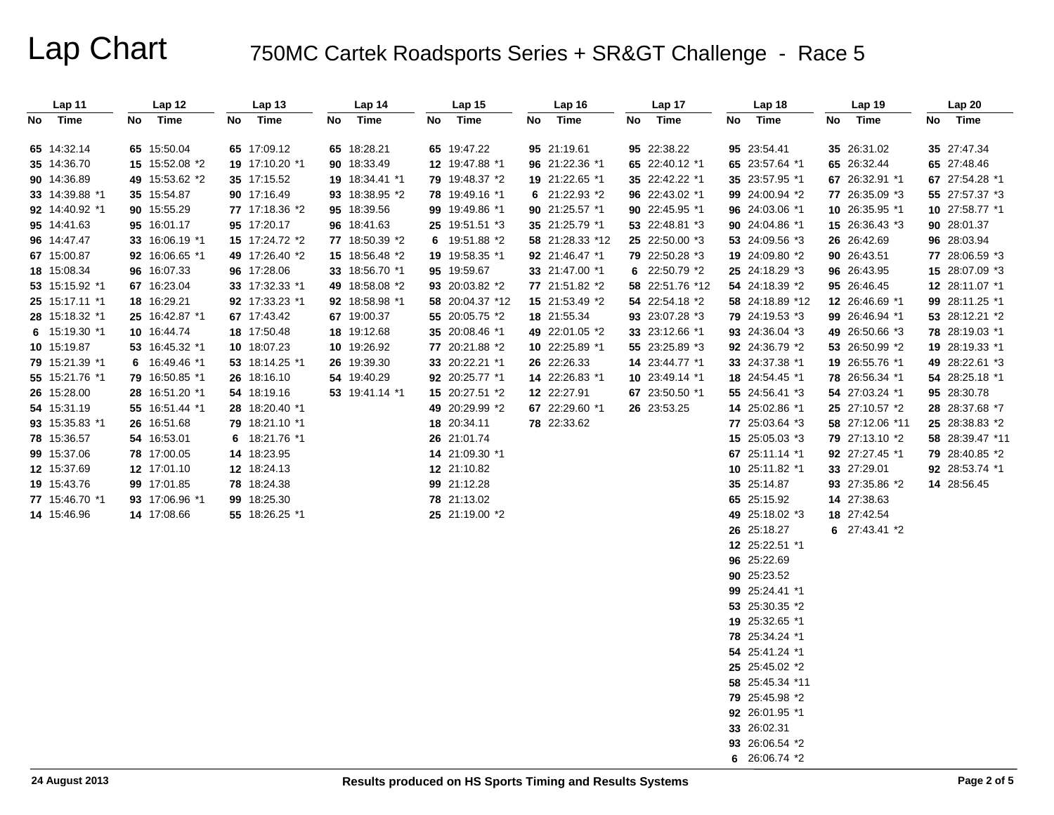| Lap 11         | Lap 12         | Lap 13         | Lap 14            | Lap 15          | Lap16           | Lap 17          | Lap 18          | Lap 19          | Lap 20          |
|----------------|----------------|----------------|-------------------|-----------------|-----------------|-----------------|-----------------|-----------------|-----------------|
| No Time        | Time<br>No     | No<br>Time     | Time<br>No        | No<br>Time      | No Time         | No<br>Time      | No<br>Time      | Time<br>No      | No Time         |
|                |                |                |                   |                 |                 |                 |                 |                 |                 |
| 65 14:32.14    | 65 15:50.04    | 65 17:09.12    | 65 18:28.21       | 65 19:47.22     | 95 21:19.61     | 95 22:38.22     | 95 23:54.41     | 35 26:31.02     | 35 27:47.34     |
| 35 14:36.70    | 15 15:52.08 *2 | 19 17:10.20 *1 | 18:33.49<br>90    | 12 19:47.88 *1  | 96 21:22.36 *1  | 65 22:40.12 *1  | 65 23:57.64 *1  | 65 26:32.44     | 65 27:48.46     |
| 90 14:36.89    | 49 15:53.62 *2 | 35 17:15.52    | 19 18:34.41 *1    | 79 19:48.37 *2  | 19 21:22.65 *1  | 35 22:42.22 *1  | 35 23:57.95 *1  | 67 26:32.91 *1  | 67 27:54.28 *1  |
| 33 14:39.88 *1 | 35 15:54.87    | 90 17:16.49    | 18:38.95 *2<br>93 | 78 19:49.16 *1  | 6 $21:22.93*2$  | 96 22:43.02 *1  | 99 24:00.94 *2  | 77 26:35.09 *3  | 55 27:57.37 *3  |
| 92 14:40.92 *1 | 90 15:55.29    | 77 17:18.36 *2 | 18:39.56<br>95    | 99 19:49.86 *1  | 90 21:25.57 *1  | 90 22:45.95 *1  | 96 24:03.06 *1  | 10 26:35.95 *1  | 10 27:58.77 *1  |
| 95 14:41.63    | 95 16:01.17    | 95 17:20.17    | 96 18:41.63       | 25 19:51.51 *3  | 35 21:25.79 *1  | 53 22:48.81 *3  | 90 24:04.86 *1  | 15 26:36.43 *3  | 90 28:01.37     |
| 96 14:47.47    | 33 16:06.19 *1 | 15 17:24.72 *2 | 77 18:50.39 *2    | 6 19:51.88 *2   | 58 21:28.33 *12 | 25 22:50.00 *3  | 53 24:09.56 *3  | 26 26:42.69     | 96 28:03.94     |
| 67 15:00.87    | 92 16:06.65 *1 | 49 17:26.40 *2 | 15 18:56.48 *2    | 19 19:58.35 *1  | 92 21:46.47 *1  | 79 22:50.28 *3  | 19 24:09.80 *2  | 90 26:43.51     | 77 28:06.59 *3  |
| 18 15:08.34    | 96 16:07.33    | 96 17:28.06    | 33 18:56.70 *1    | 95 19:59.67     | 33 21:47.00 *1  | 6 22:50.79 *2   | 25 24:18.29 *3  | 96 26:43.95     | 15 28:07.09 *3  |
| 53 15:15.92 *1 | 67 16:23.04    | 33 17:32.33 *1 | 18:58.08 *2<br>49 | 93 20:03.82 *2  | 77 21:51.82 *2  | 58 22:51.76 *12 | 54 24:18.39 *2  | 95 26:46.45     | 12 28:11.07 *1  |
| 25 15:17.11 *1 | 18 16:29.21    | 92 17:33.23 *1 | 18:58.98 *1<br>92 | 58 20:04.37 *12 | 15 21:53.49 *2  | 54 22:54.18 *2  | 58 24:18.89 *12 | 12 26:46.69 *1  | 99 28:11.25 *1  |
| 28 15:18.32 *1 | 25 16:42.87 *1 | 67 17:43.42    | 67 19:00.37       | 55 20:05.75 *2  | 18 21:55.34     | 93 23:07.28 *3  | 79 24:19.53 *3  | 99 26:46.94 *1  | 53 28:12.21 *2  |
| 6 15:19.30 *1  | 10 16:44.74    | 18 17:50.48    | 19:12.68<br>18    | 35 20:08.46 *1  | 49 22:01.05 *2  | 33 23:12.66 *1  | 93 24:36.04 *3  | 49 26:50.66 *3  | 78 28:19.03 *1  |
| 10 15:19.87    | 53 16:45.32 *1 | 10 18:07.23    | 19:26.92<br>10    | 77 20:21.88 *2  | 10 22:25.89 *1  | 55 23:25.89 *3  | 92 24:36.79 *2  | 53 26:50.99 *2  | 19 28:19.33 *1  |
| 79 15:21.39 *1 | 6 16:49.46 *1  | 53 18:14.25 *1 | 19:39.30<br>26    | 33 20:22.21 *1  | 26 22:26.33     | 14 23:44.77 *1  | 33 24:37.38 *1  | 19 26:55.76 *1  | 49 28:22.61 *3  |
| 55 15:21.76 *1 | 79 16:50.85 *1 | 26 18:16.10    | 54 19:40.29       | 92 20:25.77 *1  | 14 22:26.83 *1  | 10 23:49.14 *1  | 18 24:54.45 *1  | 78 26:56.34 *1  | 54 28:25.18 *1  |
| 26 15:28.00    | 28 16:51.20 *1 | 54 18:19.16    | 53 19:41.14 *1    | 15 20:27.51 *2  | 12 22:27.91     | 67 23:50.50 *1  | 55 24:56.41 *3  | 54 27:03.24 *1  | 95 28:30.78     |
| 54 15:31.19    | 55 16:51.44 *1 | 28 18:20.40 *1 |                   | 49 20:29.99 *2  | 67 22:29.60 *1  | 26 23:53.25     | 14 25:02.86 *1  | 25 27:10.57 *2  | 28 28:37.68 *7  |
| 93 15:35.83 *1 | 26 16:51.68    | 79 18:21.10 *1 |                   | 18 20:34.11     | 78 22:33.62     |                 | 77 25:03.64 *3  | 58 27:12.06 *11 | 25 28:38.83 *2  |
| 78 15:36.57    | 54 16:53.01    | 6 18:21.76 *1  |                   | 26 21:01.74     |                 |                 | 15 25:05.03 *3  | 79 27:13.10 *2  | 58 28:39.47 *11 |
| 99 15:37.06    | 78 17:00.05    | 14 18:23.95    |                   | 14 21:09.30 *1  |                 |                 | 67 25:11.14 *1  | 92 27:27.45 *1  | 79 28:40.85 *2  |
| 12 15:37.69    | 12 17:01.10    | 12 18:24.13    |                   | 12 21:10.82     |                 |                 | 10 25:11.82 *1  | 33 27:29.01     | 92 28:53.74 *1  |
| 19 15:43.76    | 99 17:01.85    | 78 18:24.38    |                   | 99 21:12.28     |                 |                 | 35 25:14.87     | 93 27:35.86 *2  | 14 28:56.45     |
| 77 15:46.70 *1 | 93 17:06.96 *1 | 99 18:25.30    |                   | 78 21:13.02     |                 |                 | 65 25:15.92     | 14 27:38.63     |                 |
| 14 15:46.96    | 14 17:08.66    | 55 18:26.25 *1 |                   | 25 21:19.00 *2  |                 |                 | 49 25:18.02 *3  | 18 27:42.54     |                 |
|                |                |                |                   |                 |                 |                 | 26 25:18.27     | 6 27:43.41 *2   |                 |
|                |                |                |                   |                 |                 |                 | 12 25:22.51 *1  |                 |                 |
|                |                |                |                   |                 |                 |                 | 96 25:22.69     |                 |                 |
|                |                |                |                   |                 |                 |                 | 90 25:23.52     |                 |                 |
|                |                |                |                   |                 |                 |                 | 99 25:24.41 *1  |                 |                 |
|                |                |                |                   |                 |                 |                 | 53 25:30.35 *2  |                 |                 |
|                |                |                |                   |                 |                 |                 | 19 25:32.65 *1  |                 |                 |
|                |                |                |                   |                 |                 |                 | 78 25:34.24 *1  |                 |                 |
|                |                |                |                   |                 |                 |                 | 54 25:41.24 *1  |                 |                 |
|                |                |                |                   |                 |                 |                 | 25 25:45.02 *2  |                 |                 |
|                |                |                |                   |                 |                 |                 | 58 25:45.34 *11 |                 |                 |
|                |                |                |                   |                 |                 |                 | 79 25:45.98 *2  |                 |                 |
|                |                |                |                   |                 |                 |                 | 92 26:01.95 *1  |                 |                 |
|                |                |                |                   |                 |                 |                 | 33 26:02.31     |                 |                 |
|                |                |                |                   |                 |                 |                 | 93 26:06.54 *2  |                 |                 |
|                |                |                |                   |                 |                 |                 | 6 26:06.74 *2   |                 |                 |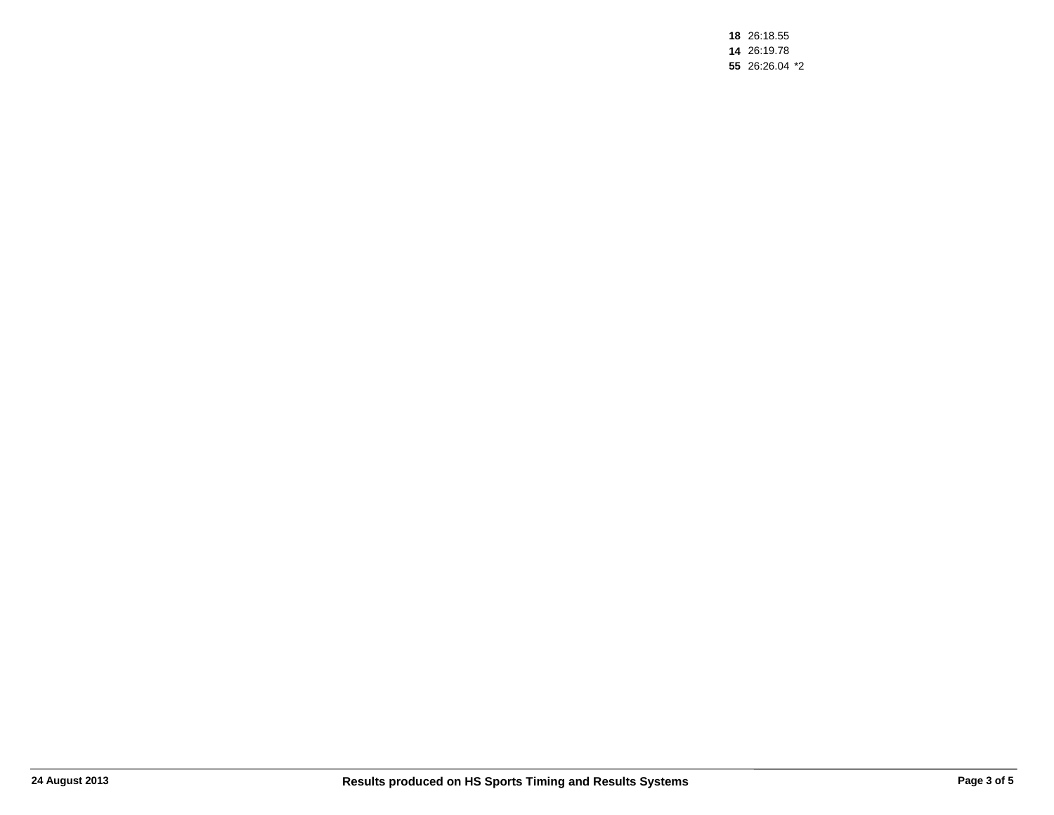26:18.55 26:19.78 26:26.04 \*2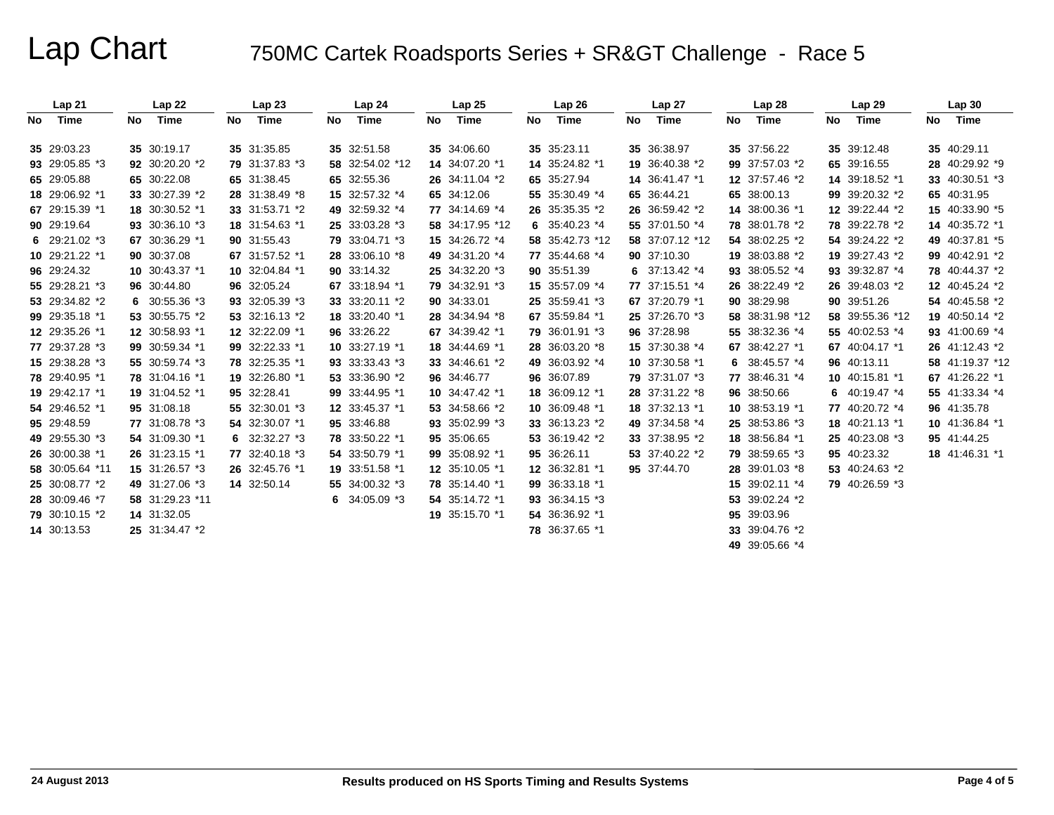|     | Lap21           |    | Lap 22          |    | Lap23          |    | Lap 24          |    | Lap25           |    | Lap26           |    | Lap 27          |    | Lap 28          |    | Lap 29          |    | Lap30           |
|-----|-----------------|----|-----------------|----|----------------|----|-----------------|----|-----------------|----|-----------------|----|-----------------|----|-----------------|----|-----------------|----|-----------------|
| No. | Time            | No | Time            | No | Time           | No | Time            | No | Time            | No | Time            | No | Time            | No | Time            | No | Time            | No | Time            |
|     | 35 29:03.23     |    | 35 30:19.17     |    | 35 31:35.85    |    | 35 32:51.58     |    | 35 34:06.60     |    | 35 35:23.11     |    | 35 36:38.97     |    | 35 37:56.22     |    | 35 39:12.48     |    | 35 40:29.11     |
|     | 93 29:05.85 *3  |    | 92 30:20.20 *2  |    | 79 31:37.83 *3 |    | 58 32:54.02 *12 |    | 14 34:07.20 *1  |    | 14 35:24.82 *1  |    | 19 36:40.38 *2  |    | 99 37:57.03 *2  |    | 65 39:16.55     |    | 28 40:29.92 *9  |
|     | 65 29:05.88     |    | 65 30:22.08     |    | 65 31:38.45    |    | 65 32:55.36     |    | 26 34:11.04 *2  |    | 65 35:27.94     |    | 14 36:41.47 *1  |    | 12 37:57.46 *2  |    | 14 39:18.52 *1  |    | 33 40:30.51 *3  |
|     | 18 29:06.92 *1  |    | 33 30:27.39 *2  |    | 28 31:38.49 *8 |    | 15 32:57.32 *4  |    | 65 34:12.06     |    | 55 35:30.49 *4  |    | 65 36:44.21     |    | 65 38:00.13     |    | 99 39:20.32 *2  |    | 65 40:31.95     |
|     | 67 29:15.39 *1  |    | 18 30:30.52 *1  |    | 33 31:53.71 *2 |    | 49 32:59.32 *4  |    | 77 34:14.69 *4  |    | 26 35:35.35 *2  |    | 26 36:59.42 *2  |    | 14 38:00.36 *1  |    | 12 39:22.44 *2  |    | 15 40:33.90 *5  |
|     | 90 29:19.64     |    | 93 30:36.10 *3  |    | 18 31:54.63 *1 |    | 25 33:03.28 *3  |    | 58 34:17.95 *12 |    | 6 35:40.23 $*4$ |    | 55 37:01.50 *4  |    | 78 38:01.78 *2  |    | 78 39:22.78 *2  |    | 14 40:35.72 *1  |
|     | 6 $29:21.02*3$  |    | 67 30:36.29 *1  |    | 90 31:55.43    |    | 79 33:04.71 *3  |    | 15 34:26.72 *4  |    | 58 35:42.73 *12 |    | 58 37:07.12 *12 |    | 54 38:02.25 *2  |    | 54 39:24.22 *2  |    | 49 40:37.81 *5  |
|     | 10 29:21.22 *1  |    | 90 30:37.08     |    | 67 31:57.52 *1 |    | 28 33:06.10 *8  |    | 49 34:31.20 *4  |    | 77 35:44.68 *4  |    | 90 37:10.30     |    | 19 38:03.88 *2  |    | 19 39:27.43 *2  |    | 99 40:42.91 *2  |
|     | 96 29:24.32     |    | 10 30:43.37 *1  |    | 10 32:04.84 *1 |    | 90 33:14.32     |    | 25 34:32.20 *3  |    | 90 35:51.39     |    | 6 $37:13.42*4$  |    | 93 38:05.52 *4  |    | 93 39:32.87 *4  |    | 78 40:44.37 *2  |
|     | 55 29:28.21 *3  |    | 96 30:44.80     |    | 96 32:05.24    |    | 67 33:18.94 *1  |    | 79 34:32.91 *3  |    | 15 35:57.09 *4  |    | 77 37:15.51 *4  |    | 26 38:22.49 *2  |    | 26 39:48.03 *2  |    | 12 40:45.24 *2  |
|     | 53 29:34.82 *2  |    | 6 $30:55.36*3$  |    | 93 32:05.39 *3 |    | 33 33:20.11 *2  |    | 90 34:33.01     |    | 25 35:59.41 *3  |    | 67 37:20.79 *1  |    | 90 38:29.98     |    | 90 39:51.26     |    | 54 40:45.58 *2  |
|     | 99 29:35.18 *1  |    | 53 30:55.75 *2  |    | 53 32:16.13 *2 |    | 18 33:20.40 *1  |    | 28 34:34.94 *8  |    | 67 35:59.84 *1  |    | 25 37:26.70 *3  |    | 58 38:31.98 *12 |    | 58 39:55.36 *12 |    | 19 40:50.14 *2  |
|     | 12 29:35.26 *1  |    | 12 30:58.93 *1  |    | 12 32:22.09 *1 |    | 96 33:26.22     |    | 67 34:39.42 *1  |    | 79 36:01.91 *3  |    | 96 37:28.98     |    | 55 38:32.36 *4  |    | 55 40:02.53 *4  |    | 93 41:00.69 *4  |
|     | 77 29:37.28 *3  |    | 99 30:59.34 *1  |    | 99 32:22.33 *1 |    | 10 33:27.19 *1  |    | 18 34:44.69 *1  |    | 28 36:03.20 *8  |    | 15 37:30.38 *4  |    | 67 38:42.27 *1  |    | 67 40:04.17 *1  |    | 26 41:12.43 *2  |
|     | 15 29:38.28 *3  |    | 55 30:59.74 *3  |    | 78 32:25.35 *1 |    | 93 33:33.43 *3  |    | 33 34:46.61 *2  |    | 49 36:03.92 *4  |    | 10 37:30.58 *1  | 6  | 38:45.57 *4     |    | 96 40:13.11     |    | 58 41:19.37 *12 |
|     | 78 29:40.95 *1  |    | 78 31:04.16 *1  |    | 19 32:26.80 *1 |    | 53 33:36.90 *2  |    | 96 34:46.77     |    | 96 36:07.89     |    | 79 37:31.07 *3  |    | 77 38:46.31 *4  |    | 10 40:15.81 *1  |    | 67 41:26.22 *1  |
|     | 19 29:42.17 *1  |    | 19 31:04.52 *1  |    | 95 32:28.41    |    | 99 33:44.95 *1  |    | 10 34:47.42 *1  |    | 18 36:09.12 *1  |    | 28 37:31.22 *8  |    | 96 38:50.66     |    | 6 $40:19.47*4$  |    | 55 41:33.34 *4  |
|     | 54 29:46.52 *1  |    | 95 31:08.18     |    | 55 32:30.01 *3 |    | 12 33:45.37 *1  |    | 53 34:58.66 *2  |    | 10 36:09.48 *1  |    | 18 37:32.13 *1  |    | 10 38:53.19 *1  |    | 77 40:20.72 *4  |    | 96 41:35.78     |
|     | 95 29:48.59     |    | 77 31:08.78 *3  |    | 54 32:30.07 *1 |    | 95 33:46.88     |    | 93 35:02.99 *3  |    | 33 36:13.23 *2  |    | 49 37:34.58 *4  |    | 25 38:53.86 *3  |    | 18 40:21.13 *1  |    | 10 41:36.84 *1  |
|     | 49 29:55.30 *3  |    | 54 31:09.30 *1  |    | 6 $32:32.27*3$ |    | 78 33:50.22 *1  |    | 95 35:06.65     |    | 53 36:19.42 *2  |    | 33 37:38.95 *2  |    | 18 38:56.84 *1  |    | 25 40:23.08 *3  |    | 95 41:44.25     |
|     | 26 30:00.38 *1  |    | 26 31:23.15 *1  |    | 77 32:40.18 *3 |    | 54 33:50.79 *1  |    | 99 35:08.92 *1  |    | 95 36:26.11     |    | 53 37:40.22 *2  |    | 79 38:59.65 *3  |    | 95 40:23.32     |    | 18 41:46.31 *1  |
|     | 58 30:05.64 *11 |    | 15 31:26.57 *3  |    | 26 32:45.76 *1 |    | 19 33:51.58 *1  |    | 12 35:10.05 *1  |    | 12 36:32.81 *1  |    | 95 37:44.70     |    | 28 39:01.03 *8  |    | 53 40:24.63 *2  |    |                 |
|     | 25 30:08.77 *2  |    | 49 31:27.06 *3  |    | 14 32:50.14    |    | 55 34:00.32 *3  |    | 78 35:14.40 *1  |    | 99 36:33.18 *1  |    |                 | 15 | 39:02.11 *4     |    | 79 40:26.59 *3  |    |                 |
|     | 28 30:09.46 *7  |    | 58 31:29.23 *11 |    |                | 6. | 34:05.09 *3     |    | 54 35:14.72 *1  |    | 93 36:34.15 *3  |    |                 |    | 53 39:02.24 *2  |    |                 |    |                 |
|     | 79 30:10.15 *2  |    | 14 31:32.05     |    |                |    |                 |    | 19 35:15.70 *1  |    | 54 36:36.92 *1  |    |                 |    | 95 39:03.96     |    |                 |    |                 |
|     | 14 30:13.53     |    | 25 31:34.47 *2  |    |                |    |                 |    |                 |    | 78 36:37.65 *1  |    |                 |    | 33 39:04.76 *2  |    |                 |    |                 |
|     |                 |    |                 |    |                |    |                 |    |                 |    |                 |    |                 |    | 49 39:05.66 *4  |    |                 |    |                 |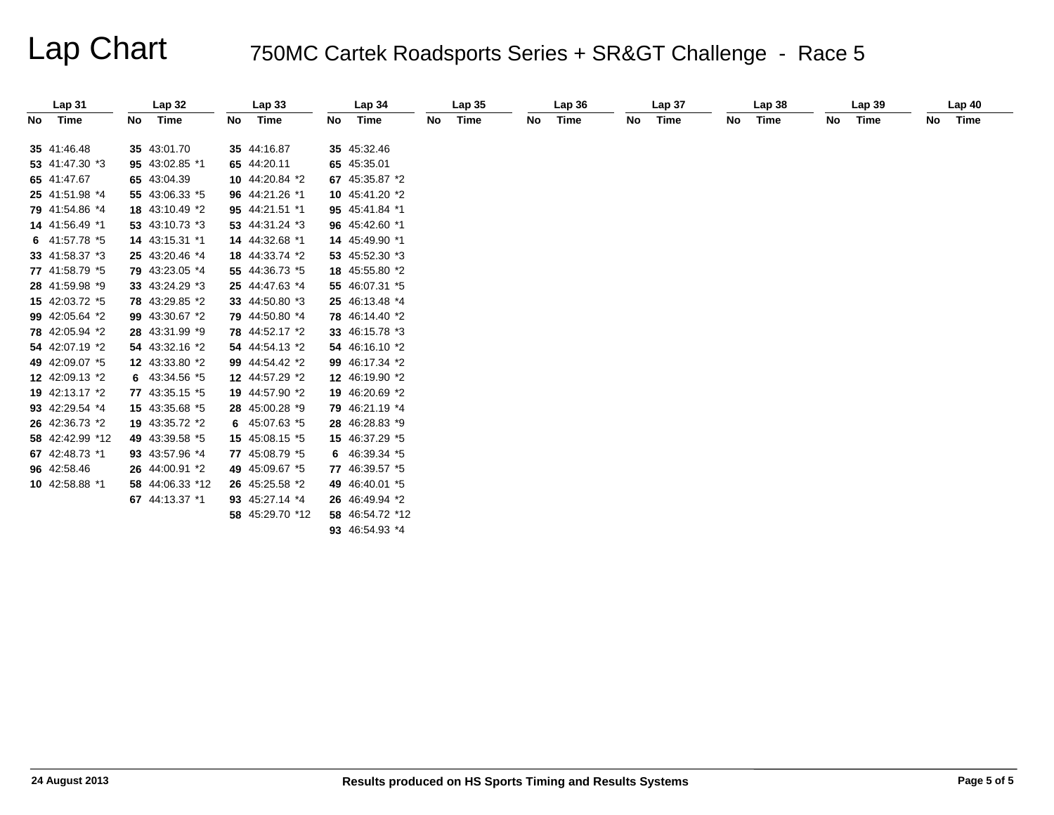| Lap <sub>31</sub> |    | Lap 32          |    | Lap33           |    | Lap 34          |    | Lap <sub>35</sub> |    | Lap36 |    | Lap <sub>37</sub> |    | Lap38 |    | Lap39 |    | Lap40 |
|-------------------|----|-----------------|----|-----------------|----|-----------------|----|-------------------|----|-------|----|-------------------|----|-------|----|-------|----|-------|
| No Time           | No | Time            | No | Time            | No | Time            | No | Time              | No | Time  | No | Time              | No | Time  | No | Time  | No | Time  |
| 35 41:46.48       |    | 35 43:01.70     |    | 35 44:16.87     |    | 35 45:32.46     |    |                   |    |       |    |                   |    |       |    |       |    |       |
| 53 41:47.30 *3    |    | 95 43:02.85 *1  |    | 65 44:20.11     |    | 65 45:35.01     |    |                   |    |       |    |                   |    |       |    |       |    |       |
| 65 41:47.67       |    | 65 43:04.39     |    | 10 44:20.84 *2  |    | 67 45:35.87 *2  |    |                   |    |       |    |                   |    |       |    |       |    |       |
| 25 41:51.98 *4    |    | 55 43:06.33 *5  |    | 96 44:21.26 *1  |    | 10 45:41.20 *2  |    |                   |    |       |    |                   |    |       |    |       |    |       |
| 79 41:54.86 *4    |    | 18 43:10.49 *2  |    | 95 44:21.51 *1  |    | 95 45:41.84 *1  |    |                   |    |       |    |                   |    |       |    |       |    |       |
| 14 41:56.49 *1    |    | 53 43:10.73 *3  |    | 53 44:31.24 *3  |    | 96 45:42.60 *1  |    |                   |    |       |    |                   |    |       |    |       |    |       |
| 6 41:57.78 *5     |    | 14 43:15.31 *1  |    | 14 44:32.68 *1  |    | 14 45:49.90 *1  |    |                   |    |       |    |                   |    |       |    |       |    |       |
| 33 41:58.37 *3    |    | 25 43:20.46 *4  |    | 18 44:33.74 *2  |    | 53 45:52.30 *3  |    |                   |    |       |    |                   |    |       |    |       |    |       |
| 77 41:58.79 *5    |    | 79 43:23.05 *4  |    | 55 44:36.73 *5  |    | 18 45:55.80 *2  |    |                   |    |       |    |                   |    |       |    |       |    |       |
| 28 41:59.98 *9    |    | 33 43:24.29 *3  |    | 25 44:47.63 *4  |    | 55 46:07.31 *5  |    |                   |    |       |    |                   |    |       |    |       |    |       |
|                   |    |                 |    |                 |    |                 |    |                   |    |       |    |                   |    |       |    |       |    |       |
| 15 42:03.72 *5    |    | 78 43:29.85 *2  |    | 33 44:50.80 *3  |    | 25 46:13.48 *4  |    |                   |    |       |    |                   |    |       |    |       |    |       |
| 99 42:05.64 *2    |    | 99 43:30.67 *2  |    | 79 44:50.80 *4  |    | 78 46:14.40 *2  |    |                   |    |       |    |                   |    |       |    |       |    |       |
| 78 42:05.94 *2    |    | 28 43:31.99 *9  |    | 78 44:52.17 *2  |    | 33 46:15.78 *3  |    |                   |    |       |    |                   |    |       |    |       |    |       |
| 54 42:07.19 *2    |    | 54 43:32.16 *2  |    | 54 44:54.13 *2  |    | 54 46:16.10 *2  |    |                   |    |       |    |                   |    |       |    |       |    |       |
| 49 42:09.07 *5    |    | 12 43:33.80 *2  |    | 99 44:54.42 *2  |    | 99 46:17.34 *2  |    |                   |    |       |    |                   |    |       |    |       |    |       |
| 12 42:09.13 *2    |    | 6 43:34.56 *5   |    | 12 44:57.29 *2  |    | 12 46:19.90 *2  |    |                   |    |       |    |                   |    |       |    |       |    |       |
| 19 42:13.17 *2    |    | 77 43:35.15 *5  |    | 19 44:57.90 *2  |    | 19 46:20.69 *2  |    |                   |    |       |    |                   |    |       |    |       |    |       |
| 93 42:29.54 *4    |    | 15 43:35.68 *5  |    | 28 45:00.28 *9  |    | 79 46:21.19 *4  |    |                   |    |       |    |                   |    |       |    |       |    |       |
| 26 42:36.73 *2    |    | 19 43:35.72 *2  |    | 6 45:07.63 *5   |    | 28 46:28.83 *9  |    |                   |    |       |    |                   |    |       |    |       |    |       |
| 58 42:42.99 *12   |    | 49 43:39.58 *5  |    | 15 45:08.15 *5  |    | 15 46:37.29 *5  |    |                   |    |       |    |                   |    |       |    |       |    |       |
| 67 42:48.73 *1    |    | 93 43:57.96 *4  |    | 77 45:08.79 *5  |    | 6 46:39.34 *5   |    |                   |    |       |    |                   |    |       |    |       |    |       |
| 96 42:58.46       |    | 26 44:00.91 *2  |    | 49 45:09.67 *5  |    | 77 46:39.57 *5  |    |                   |    |       |    |                   |    |       |    |       |    |       |
| 10 42:58.88 *1    |    | 58 44:06.33 *12 |    | 26 45:25.58 *2  |    | 49 46:40.01 *5  |    |                   |    |       |    |                   |    |       |    |       |    |       |
|                   |    | 67 44:13.37 *1  |    | 93 45:27.14 *4  |    | 26 46:49.94 *2  |    |                   |    |       |    |                   |    |       |    |       |    |       |
|                   |    |                 |    | 58 45:29.70 *12 |    | 58 46:54.72 *12 |    |                   |    |       |    |                   |    |       |    |       |    |       |
|                   |    |                 |    |                 |    | 93 46:54.93 *4  |    |                   |    |       |    |                   |    |       |    |       |    |       |
|                   |    |                 |    |                 |    |                 |    |                   |    |       |    |                   |    |       |    |       |    |       |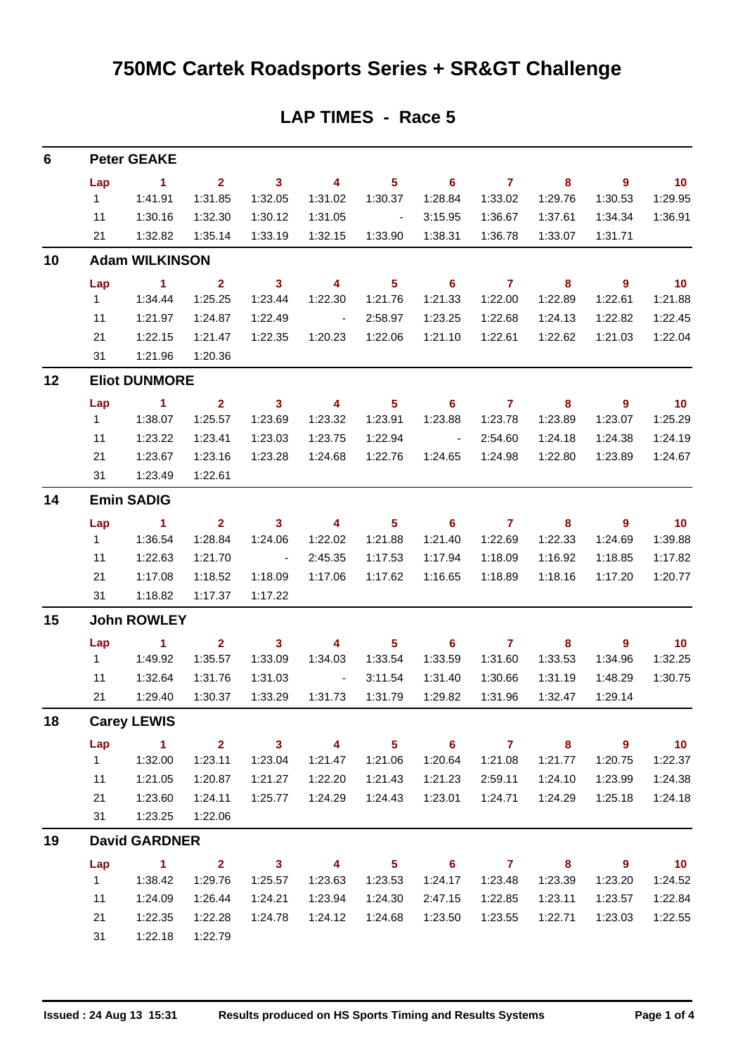| 6  |                       | <b>Peter GEAKE</b>   |                         |                          |                                   |                             |                            |                  |                            |                            |                             |  |  |  |
|----|-----------------------|----------------------|-------------------------|--------------------------|-----------------------------------|-----------------------------|----------------------------|------------------|----------------------------|----------------------------|-----------------------------|--|--|--|
|    | Lap                   | $\sim$ 1             | $\overline{2}$          | $\overline{\mathbf{3}}$  | $\overline{\mathbf{4}}$           | 5 <sup>5</sup>              | $\overline{\phantom{0}}$ 6 | $\overline{7}$   | $\overline{\phantom{a}}$ 8 | $\overline{\phantom{a}}$   | $\overline{10}$             |  |  |  |
|    | $1 \quad$             | 1:41.91              | 1:31.85                 | 1:32.05                  | 1:31.02                           | 1:30.37                     | 1:28.84                    | 1:33.02          | 1:29.76                    | 1:30.53                    | 1:29.95                     |  |  |  |
|    | 11                    | 1:30.16              | 1:32.30                 | 1:30.12                  | 1:31.05                           | $\sim 10^{11}$ km s $^{-1}$ | 3:15.95                    | 1:36.67          | 1:37.61                    | 1:34.34                    | 1:36.91                     |  |  |  |
|    | 21                    | 1:32.82              | 1:35.14                 | 1:33.19                  | 1:32.15                           | 1:33.90                     | 1:38.31                    | 1:36.78          | 1:33.07                    | 1:31.71                    |                             |  |  |  |
| 10 | <b>Adam WILKINSON</b> |                      |                         |                          |                                   |                             |                            |                  |                            |                            |                             |  |  |  |
|    | Lap                   | $\sim$ 1             | $\overline{\mathbf{2}}$ | $\overline{\mathbf{3}}$  | $\overline{\mathbf{4}}$           | $\overline{\phantom{0}}$ 5  | $\overline{\phantom{0}}$ 6 | $\overline{7}$   | $\overline{\mathbf{8}}$    | $\overline{\phantom{a}}$ 9 | $\overline{\phantom{0}}$ 10 |  |  |  |
|    | $1 \quad$             | 1:34.44              | 1:25.25                 | 1:23.44                  | 1:22.30                           | 1:21.76                     | 1:21.33                    | 1:22.00          | 1:22.89                    | 1:22.61                    | 1:21.88                     |  |  |  |
|    | 11                    | 1:21.97              | 1:24.87                 | 1:22.49                  | $\sim 10^{11}$ and $\sim 10^{11}$ | 2:58.97                     | 1:23.25                    | 1:22.68          | 1:24.13                    | 1:22.82                    | 1:22.45                     |  |  |  |
|    | 21                    | 1:22.15              | 1:21.47                 | 1:22.35                  |                                   |                             | 1:21.10                    | 1:22.61          | 1:22.62                    | 1:21.03                    | 1:22.04                     |  |  |  |
|    | 31                    | 1:21.96              | 1:20.36                 |                          |                                   |                             |                            |                  |                            |                            |                             |  |  |  |
| 12 |                       | <b>Eliot DUNMORE</b> |                         |                          |                                   |                             |                            |                  |                            |                            |                             |  |  |  |
|    | Lap                   | $\sim$ 1             | $\overline{\mathbf{2}}$ | $\overline{\mathbf{3}}$  | $\overline{\mathbf{4}}$           | $\overline{\phantom{0}}$ 5  | $\overline{\phantom{a}}$ 6 | $\overline{7}$   | $\overline{\mathbf{8}}$    | $\overline{\phantom{a}}$   | $\overline{\phantom{0}}$ 10 |  |  |  |
|    | $1 \quad$             | 1:38.07              | 1:25.57                 | 1:23.69                  | 1:23.32                           | 1:23.91                     | 1:23.88                    | 1:23.78          | 1:23.89                    | 1:23.07                    | 1:25.29                     |  |  |  |
|    | 11                    | 1:23.22              | 1:23.41                 | 1:23.03                  | 1:23.75                           | 1:22.94                     | <b>Contract Contract</b>   | 2:54.60          | 1:24.18                    | 1:24.38                    | 1:24.19                     |  |  |  |
|    | 21<br>31              | 1:23.67<br>1:23.49   | 1:23.16<br>1:22.61      | 1:23.28                  | 1:24.68                           | 1:22.76                     |                            | 1:24.65  1:24.98 | 1:22.80                    | 1:23.89                    | 1:24.67                     |  |  |  |
| 14 |                       | <b>Emin SADIG</b>    |                         |                          |                                   |                             |                            |                  |                            |                            |                             |  |  |  |
|    | Lap                   | $\sim$ 1             | $\overline{\mathbf{2}}$ | $\overline{\mathbf{3}}$  | $\overline{\phantom{a}}$          | $\overline{\phantom{0}}$ 5  | $\overline{\phantom{0}}$ 6 | $\overline{7}$   | $\overline{\mathbf{8}}$    | $\overline{\phantom{a}}$   | $\overline{\phantom{0}}$ 10 |  |  |  |
|    | $1 \quad$             | 1:36.54              | 1:28.84                 | 1:24.06                  | 1:22.02                           | 1:21.88                     | 1:21.40                    | 1:22.69          | 1:22.33                    | 1:24.69                    | 1:39.88                     |  |  |  |
|    | 11                    | 1:22.63              | 1:21.70                 | $\sim 10^{11}$ m $^{-1}$ | 2:45.35                           | 1:17.53                     | 1:17.94                    | 1:18.09          | 1:16.92                    | 1:18.85                    | 1:17.82                     |  |  |  |
|    | 21                    | 1:17.08              | 1:18.52                 | 1:18.09                  |                                   |                             | 1:16.65                    | 1:18.89          | 1:18.16                    | 1:17.20                    | 1:20.77                     |  |  |  |
|    | 31                    | 1:18.82              | 1:17.37                 | 1:17.22                  |                                   |                             |                            |                  |                            |                            |                             |  |  |  |
| 15 | <b>John ROWLEY</b>    |                      |                         |                          |                                   |                             |                            |                  |                            |                            |                             |  |  |  |
|    | Lap                   | $\sim$ 1             | $\overline{2}$          | $\overline{\mathbf{3}}$  | $\overline{4}$                    | $\overline{\phantom{0}}$ 5  | $\overline{\phantom{0}}$ 6 | $\overline{7}$   | $\overline{\mathbf{8}}$    | $\overline{\phantom{a}}$ 9 | $\overline{\phantom{0}}$ 10 |  |  |  |
|    | $1 \quad$             | 1:49.92              | 1:35.57                 | 1:33.09                  | 1:34.03                           | 1:33.54                     | 1:33.59                    | 1:31.60          | 1:33.53                    | 1:34.96                    | 1:32.25                     |  |  |  |
|    | 11                    | 1:32.64              | 1:31.76                 | 1:31.03                  | <b>Contract Contract</b>          | 3:11.54                     | 1:31.40                    | 1:30.66          | 1:31.19                    | 1:48.29                    | 1:30.75                     |  |  |  |
|    | 21                    | 1:29.40              | 1:30.37                 | 1:33.29                  | 1:31.73                           | 1:31.79                     | 1:29.82                    | 1:31.96          | 1:32.47                    | 1:29.14                    |                             |  |  |  |
| 18 | <b>Carey LEWIS</b>    |                      |                         |                          |                                   |                             |                            |                  |                            |                            |                             |  |  |  |
|    | Lap                   | $\blacktriangleleft$ | $\overline{2}$          | $\mathbf{3}$             | 4                                 | 5 <sub>5</sub>              | $6\phantom{1}$             | $\mathbf{7}$     | 8                          | $\mathbf{9}$               | 10                          |  |  |  |
|    | $\mathbf{1}$          | 1:32.00              | 1:23.11                 | 1:23.04                  | 1:21.47                           | 1:21.06                     | 1:20.64                    | 1:21.08          | 1:21.77                    | 1:20.75                    | 1:22.37                     |  |  |  |
|    | 11                    | 1:21.05              | 1:20.87                 | 1:21.27                  | 1:22.20                           | 1:21.43                     | 1:21.23                    | 2:59.11          | 1:24.10                    | 1:23.99                    | 1:24.38                     |  |  |  |
|    | 21                    | 1:23.60              | 1:24.11                 | 1:25.77                  | 1:24.29                           | 1:24.43                     | 1:23.01                    | 1:24.71          | 1:24.29                    | 1:25.18                    | 1:24.18                     |  |  |  |
|    | 31                    | 1:23.25              | 1:22.06                 |                          |                                   |                             |                            |                  |                            |                            |                             |  |  |  |
| 19 | <b>David GARDNER</b>  |                      |                         |                          |                                   |                             |                            |                  |                            |                            |                             |  |  |  |
|    | Lap                   | 1                    | $\overline{2}$          | $\mathbf{3}$             | 4                                 | $5\phantom{.0}$             | 6                          | $\mathbf{7}$     | 8                          | $\mathbf{9}$               | 10                          |  |  |  |
|    | $\mathbf{1}$          | 1:38.42              | 1:29.76                 | 1:25.57                  | 1:23.63                           | 1:23.53                     | 1:24.17                    | 1:23.48          | 1:23.39                    | 1:23.20                    | 1:24.52                     |  |  |  |
|    | 11                    | 1:24.09              | 1:26.44                 | 1:24.21                  | 1:23.94                           | 1:24.30                     | 2:47.15                    | 1:22.85          | 1:23.11                    | 1:23.57                    | 1:22.84                     |  |  |  |
|    | 21                    | 1:22.35              | 1:22.28                 | 1:24.78                  | 1:24.12                           | 1:24.68                     | 1:23.50                    | 1:23.55          | 1:22.71                    | 1:23.03                    | 1:22.55                     |  |  |  |
|    | 31                    | 1:22.18              | 1:22.79                 |                          |                                   |                             |                            |                  |                            |                            |                             |  |  |  |

#### **LAP TIMES - Race 5**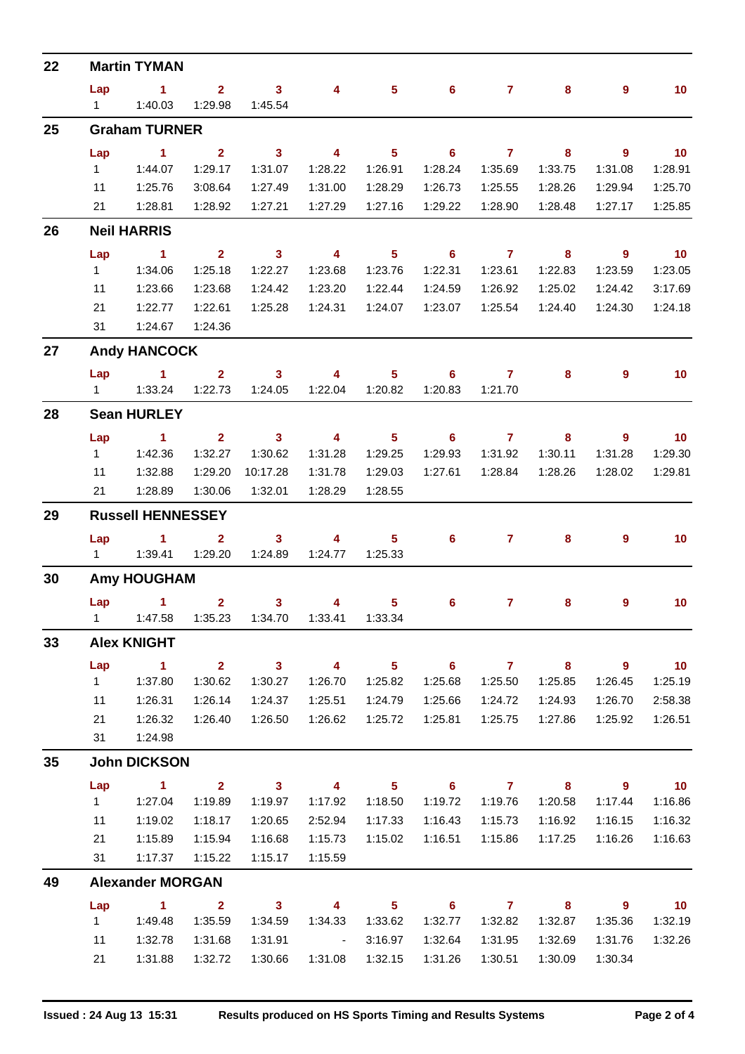| 22 |                          | <b>Martin TYMAN</b>                                 |                                    |                         |                             |                                       |                            |                         |         |                            |                            |  |  |
|----|--------------------------|-----------------------------------------------------|------------------------------------|-------------------------|-----------------------------|---------------------------------------|----------------------------|-------------------------|---------|----------------------------|----------------------------|--|--|
|    | Lap                      | $\blacktriangleleft$                                | 2 <sup>1</sup>                     | 3 <sup>7</sup>          | 4                           | $5\phantom{.0}$                       | $6^{\circ}$                | 7 <sup>7</sup>          | 8       | 9                          | 10 <sub>1</sub>            |  |  |
|    | $1 \quad$                | 1:40.03                                             | 1:29.98                            | 1:45.54                 |                             |                                       |                            |                         |         |                            |                            |  |  |
| 25 |                          | <b>Graham TURNER</b>                                |                                    |                         |                             |                                       |                            |                         |         |                            |                            |  |  |
|    | Lap                      | $\blacktriangleleft$                                | $\overline{2}$                     | $\mathbf{3}$            | $\overline{4}$              | 5 <sup>5</sup>                        | $6\phantom{1}$             | $\mathbf{7}$            | 8       | $\overline{9}$             | $-10$                      |  |  |
|    | 1                        | 1:44.07                                             | 1:29.17                            | 1:31.07                 | 1:28.22                     | 1:26.91                               | 1:28.24                    | 1:35.69                 | 1:33.75 | 1:31.08                    | 1:28.91                    |  |  |
|    | 11                       | 1:25.76                                             | 3:08.64                            | 1:27.49                 | 1:31.00                     | 1:28.29                               | 1:26.73                    | 1:25.55                 | 1:28.26 | 1:29.94                    | 1:25.70                    |  |  |
|    | 21                       | 1:28.81                                             | 1:28.92                            | 1:27.21                 | 1:27.29                     | 1:27.16                               | 1:29.22                    | 1:28.90                 | 1:28.48 | 1:27.17                    | 1:25.85                    |  |  |
| 26 | <b>Neil HARRIS</b>       |                                                     |                                    |                         |                             |                                       |                            |                         |         |                            |                            |  |  |
|    | Lap                      | $\blacksquare$ 1                                    | $\mathbf{2}$                       | $\overline{\mathbf{3}}$ | $\overline{\mathbf{4}}$     | 5 <sub>1</sub>                        | $\overline{\phantom{0}}$ 6 | $\overline{7}$          | 8       | $\overline{\phantom{a}}$   | $\overline{10}$            |  |  |
|    | 1                        | 1:34.06                                             | 1:25.18                            | 1:22.27                 | 1:23.68                     | 1:23.76                               | 1:22.31                    | 1:23.61                 | 1:22.83 | 1:23.59                    | 1:23.05                    |  |  |
|    | 11                       | 1:23.66                                             | 1:23.68                            | 1:24.42                 | 1:23.20                     | 1:22.44                               | 1:24.59                    | 1:26.92                 | 1:25.02 | 1:24.42                    | 3:17.69                    |  |  |
|    | 21<br>31                 | 1:22.77<br>1:24.67                                  | 1:22.61<br>1:24.36                 | 1:25.28                 | 1:24.31                     | 1:24.07                               | 1:23.07                    | 1:25.54                 | 1:24.40 | 1:24.30                    | 1:24.18                    |  |  |
| 27 |                          | <b>Andy HANCOCK</b>                                 |                                    |                         |                             |                                       |                            |                         |         |                            |                            |  |  |
|    |                          |                                                     |                                    |                         |                             |                                       |                            |                         |         |                            |                            |  |  |
|    | Lap<br>$1 \quad$         | $\mathbf{1}$<br>1:33.24                             | $\overline{2}$<br>1:22.73          | $\mathbf{3}$<br>1:24.05 | 4<br>1:22.04                | 5<br>1:20.82                          | 6<br>1:20.83               | $\mathbf{7}$<br>1:21.70 | 8       | 9                          | 10 <sub>1</sub>            |  |  |
| 28 |                          | <b>Sean HURLEY</b>                                  |                                    |                         |                             |                                       |                            |                         |         |                            |                            |  |  |
|    | Lap                      | $\blacktriangleleft$                                | $\overline{2}$                     | 3 <sup>7</sup>          | $\overline{\mathbf{4}}$     | 5 <sup>5</sup>                        | 6                          | $\overline{7}$          | 8       | $\overline{9}$             | 10                         |  |  |
|    | $\mathbf{1}$             | 1:42.36                                             | 1:32.27                            | 1:30.62                 | 1:31.28                     | 1:29.25                               | 1:29.93                    | 1:31.92                 | 1:30.11 | 1:31.28                    | 1:29.30                    |  |  |
|    | 11                       | 1:32.88                                             | 1:29.20                            | 10:17.28                | 1:31.78                     | 1:29.03                               | 1:27.61                    | 1:28.84                 | 1:28.26 | 1:28.02                    | 1:29.81                    |  |  |
|    | 21                       | 1:28.89                                             | 1:30.06                            | 1:32.01                 | 1:28.29                     | 1:28.55                               |                            |                         |         |                            |                            |  |  |
| 29 | <b>Russell HENNESSEY</b> |                                                     |                                    |                         |                             |                                       |                            |                         |         |                            |                            |  |  |
|    | Lap                      | 1.                                                  | $\mathbf{2}$                       | $\mathbf{3}$            | 4                           | 5                                     | 6                          | $\mathbf{7}$            | 8       | 9                          | 10 <sub>1</sub>            |  |  |
|    | $1 \quad$                | 1:39.41                                             | 1:29.20                            | 1:24.89                 | 1:24.77                     | 1:25.33                               |                            |                         |         |                            |                            |  |  |
| 30 | <b>Amy HOUGHAM</b>       |                                                     |                                    |                         |                             |                                       |                            |                         |         |                            |                            |  |  |
|    | Lap                      | $\sim$ 1                                            | $\overline{\mathbf{2}}$            | 3 <sup>7</sup>          | $\overline{\mathbf{4}}$     | 5 <sub>1</sub>                        | $6\phantom{1}$             | $\mathbf{7}$            | 8       | 9                          | 10 <sub>1</sub>            |  |  |
|    |                          | 1   1:47.58   1:35.23   1:34.70   1:33.41   1:33.34 |                                    |                         |                             |                                       |                            |                         |         |                            |                            |  |  |
| 33 | <b>Alex KNIGHT</b>       |                                                     |                                    |                         |                             |                                       |                            |                         |         |                            |                            |  |  |
|    | Lap                      | $\sim$ 1                                            | $\mathbf{2}$                       | $\overline{\mathbf{3}}$ | $\overline{\mathbf{4}}$     | $\overline{\phantom{1}}$ 5            |                            | 6 7 8                   |         | $\overline{\phantom{a}}$   | $\overline{10}$            |  |  |
|    | $1 \quad$                | 1:37.80                                             | 1:30.62                            | 1:30.27                 | 1:26.70                     | 1:25.82                               | 1:25.68                    | 1:25.50                 | 1:25.85 | 1:26.45                    | 1:25.19                    |  |  |
|    | 11                       | 1:26.31                                             | 1:26.14                            | 1:24.37                 | 1:25.51                     | 1:24.79                               | 1:25.66                    | 1:24.72                 | 1:24.93 | 1:26.70                    | 2:58.38                    |  |  |
|    | 21                       | 1:26.32                                             | 1:26.40                            | 1:26.50                 | 1:26.62                     | 1:25.72                               | 1:25.81                    | 1:25.75                 | 1:27.86 | 1:25.92                    | 1:26.51                    |  |  |
|    | 31                       | 1:24.98                                             |                                    |                         |                             |                                       |                            |                         |         |                            |                            |  |  |
| 35 | <b>John DICKSON</b>      |                                                     |                                    |                         |                             |                                       |                            |                         |         |                            |                            |  |  |
|    | Lap                      | $\sim$ 1                                            |                                    | $2 \t 3 \t 4$           |                             | $\overline{\phantom{1}}$ 5            |                            | $6$ $7$ $8$             |         | $\overline{\phantom{a}}$ 9 | $\overline{10}$            |  |  |
|    | $1 \quad$                | 1:27.04                                             | 1:19.89                            | 1:19.97                 | 1:17.92                     | 1:18.50                               | 1:19.72                    | 1:19.76                 | 1:20.58 | 1:17.44                    | 1:16.86                    |  |  |
|    | 11                       | 1:19.02                                             | 1:18.17                            | 1:20.65                 | 2:52.94                     | 1:17.33                               | 1:16.43                    | 1:15.73                 | 1:16.92 | 1:16.15                    | 1:16.32                    |  |  |
|    | 21                       | 1:15.89                                             | 1:15.94                            | 1:16.68                 | 1:15.73                     | 1:15.02                               | 1:16.51                    | 1:15.86                 | 1:17.25 | 1:16.26                    | 1:16.63                    |  |  |
|    | 31                       | 1:17.37                                             | 1:15.22                            | 1:15.17                 | 1:15.59                     |                                       |                            |                         |         |                            |                            |  |  |
| 49 |                          | <b>Alexander MORGAN</b>                             |                                    |                         |                             |                                       |                            |                         |         |                            |                            |  |  |
|    | Lap<br>$1 \quad$         | $\sim$ 1<br>1:49.48                                 | $\overline{\mathbf{2}}$<br>1:35.59 | $3 \t 4$<br>1:34.59     | 1:34.33                     | $\overline{\phantom{1}}$ 5<br>1:33.62 | 1:32.77                    | $6$ $7$ $8$<br>1:32.82  | 1:32.87 | - 9<br>1:35.36             | $\overline{10}$<br>1:32.19 |  |  |
|    |                          |                                                     |                                    | 1:31.91                 |                             |                                       |                            |                         |         |                            | 1:32.26                    |  |  |
|    | 11                       | 1:32.78                                             | 1:31.68                            |                         | $\sim 10^{11}$ km s $^{-1}$ | 3:16.97                               | 1:32.64                    | 1:31.95                 | 1:32.69 | 1:31.76                    |                            |  |  |
|    | 21                       | 1:31.88                                             | 1:32.72                            | 1:30.66                 | 1:31.08                     | 1:32.15                               | 1:31.26                    | 1:30.51                 | 1:30.09 | 1:30.34                    |                            |  |  |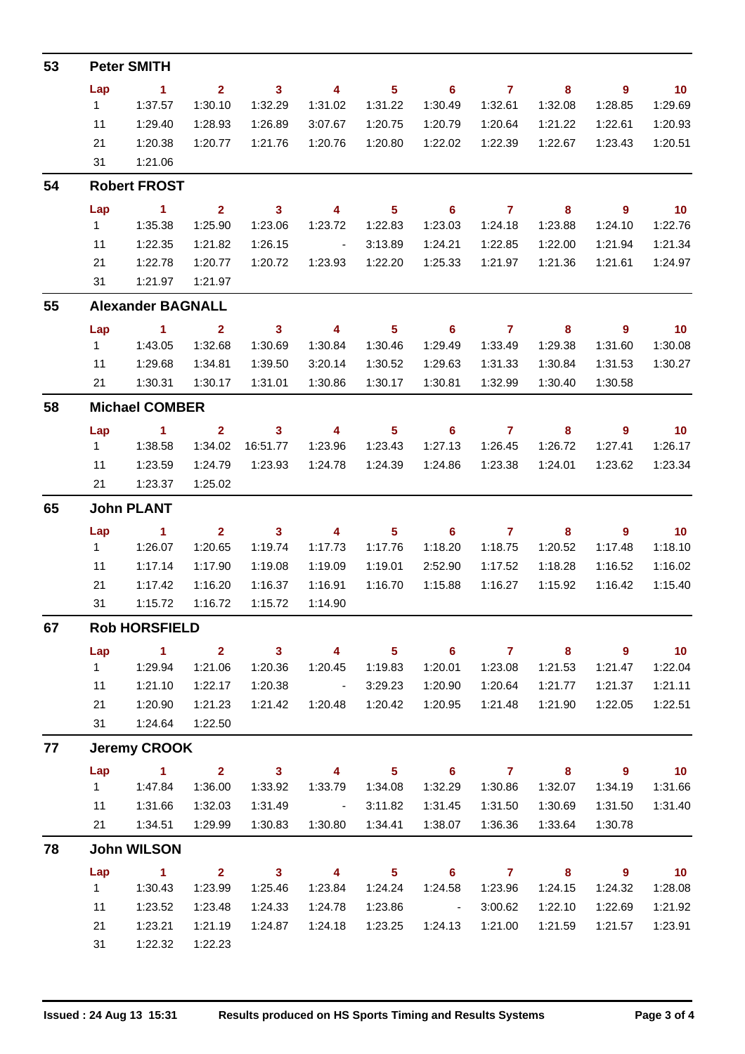| 53 |                               | <b>Peter SMITH</b>       |                         |                          |                                                                        |                            |                            |                           |                            |                                                     |                          |  |  |
|----|-------------------------------|--------------------------|-------------------------|--------------------------|------------------------------------------------------------------------|----------------------------|----------------------------|---------------------------|----------------------------|-----------------------------------------------------|--------------------------|--|--|
|    | Lap                           | $\blacksquare$ 1         | 2 <sup>1</sup>          | $\overline{\mathbf{3}}$  | $\overline{4}$                                                         | $\overline{\phantom{0}}$ 5 | $\overline{\phantom{0}}$ 6 | $\overline{7}$            | $\overline{\phantom{a}}$ 8 | $\overline{\phantom{a}}$                            | $\blacksquare$ 10        |  |  |
|    | 1                             | 1:37.57                  | 1:30.10                 | 1:32.29                  | 1:31.02                                                                | 1:31.22                    | 1:30.49                    | 1:32.61                   | 1:32.08                    | 1:28.85                                             | 1:29.69                  |  |  |
|    | 11                            | 1:29.40                  | 1:28.93                 | 1:26.89                  | 3:07.67                                                                | 1:20.75                    | 1:20.79                    | 1:20.64                   | 1:21.22                    | 1:22.61                                             | 1:20.93                  |  |  |
|    | 21                            | 1:20.38                  | 1:20.77                 | 1:21.76                  | 1:20.76                                                                | 1:20.80                    | 1:22.02                    | 1:22.39                   | 1:22.67                    | 1:23.43                                             | 1:20.51                  |  |  |
|    | 31                            | 1:21.06                  |                         |                          |                                                                        |                            |                            |                           |                            |                                                     |                          |  |  |
| 54 | <b>Robert FROST</b>           |                          |                         |                          |                                                                        |                            |                            |                           |                            |                                                     |                          |  |  |
|    | Lap                           | $\sim$ 1                 | $\mathbf{2}$            | $\sim$ 3                 | $\overline{4}$                                                         | $\overline{\phantom{0}}$ 5 | $\overline{\phantom{0}}$ 6 | $\overline{7}$            | $\overline{\mathbf{8}}$    | - 9                                                 | $\overline{\mathbf{10}}$ |  |  |
|    | 1                             | 1:35.38                  | 1:25.90                 | 1:23.06                  | 1:23.72                                                                | 1:22.83                    | 1:23.03                    | 1:24.18                   | 1:23.88                    | 1:24.10                                             | 1:22.76                  |  |  |
|    | 11                            | 1:22.35                  | 1:21.82                 | 1:26.15                  | $\sim$ $-$                                                             | 3:13.89                    | 1:24.21                    | 1:22.85                   | 1:22.00                    | 1:21.94                                             | 1:21.34                  |  |  |
|    | 21                            | 1:22.78                  | 1:20.77                 | 1:20.72                  | 1:23.93                                                                | 1:22.20                    | 1:25.33                    | 1:21.97                   | 1:21.36                    | 1:21.61                                             | 1:24.97                  |  |  |
|    | 31                            | 1:21.97                  | 1:21.97                 |                          |                                                                        |                            |                            |                           |                            |                                                     |                          |  |  |
| 55 |                               | <b>Alexander BAGNALL</b> |                         |                          |                                                                        |                            |                            |                           |                            |                                                     |                          |  |  |
|    | Lap                           | $\sim$ 1                 | $\overline{\mathbf{2}}$ | $\overline{\mathbf{3}}$  | $\overline{4}$                                                         | $\overline{\phantom{0}}$ 5 | $\overline{\phantom{0}}$ 6 | $\overline{7}$            | $\overline{\phantom{a}}$ 8 | - 9                                                 | $\overline{10}$          |  |  |
|    | 1                             | 1:43.05                  | 1:32.68                 | 1:30.69                  | 1:30.84                                                                | 1:30.46                    | 1:29.49                    | 1:33.49                   | 1:29.38                    | 1:31.60                                             | 1:30.08                  |  |  |
|    | 11                            | 1:29.68                  | 1:34.81                 | 1:39.50                  | 3:20.14                                                                | 1:30.52                    | 1:29.63                    | 1:31.33                   | 1:30.84                    | 1:31.53                                             | 1:30.27                  |  |  |
|    | 21                            | 1:30.31                  | 1:30.17                 | 1:31.01                  | 1:30.86                                                                | 1:30.17                    | 1:30.81                    | 1:32.99                   | 1:30.40                    | 1:30.58                                             |                          |  |  |
| 58 | <b>Michael COMBER</b>         |                          |                         |                          |                                                                        |                            |                            |                           |                            |                                                     |                          |  |  |
|    | Lap                           | $\sim$ 1                 | $\overline{\mathbf{2}}$ | $\overline{\mathbf{3}}$  | $\overline{\mathbf{4}}$                                                | 5 <sub>5</sub>             | $\overline{\phantom{0}}$ 6 | $\overline{7}$            | 8                          | $\overline{9}$                                      | 10                       |  |  |
|    | $1 \quad$                     | 1:38.58                  | 1:34.02                 | 16:51.77                 | 1:23.96                                                                | 1:23.43                    | 1:27.13                    | 1:26.45                   | 1:26.72                    | 1:27.41                                             | 1:26.17                  |  |  |
|    | 11                            | 1:23.59                  | 1:24.79                 | 1:23.93                  | 1:24.78                                                                | 1:24.39                    | 1:24.86                    | 1:23.38                   | 1:24.01                    | 1:23.62                                             | 1:23.34                  |  |  |
|    | 21                            | 1:23.37                  | 1:25.02                 |                          |                                                                        |                            |                            |                           |                            |                                                     |                          |  |  |
| 65 | <b>John PLANT</b>             |                          |                         |                          |                                                                        |                            |                            |                           |                            |                                                     |                          |  |  |
|    | Lap                           | $\mathbf{1}$             | $\mathbf{2}$            | $\mathbf{3}$             | $\overline{4}$                                                         | $5\phantom{.0}$            | 6                          | 7                         | 8                          | 9                                                   | 10                       |  |  |
|    | 1                             | 1:26.07                  | 1:20.65                 | 1:19.74                  | 1:17.73                                                                | 1:17.76                    | 1:18.20                    | 1:18.75                   | 1:20.52                    | 1:17.48                                             | 1:18.10                  |  |  |
|    | 11                            | 1:17.14                  | 1:17.90                 | 1:19.08                  | 1:19.09                                                                | 1:19.01                    | 2:52.90                    | 1:17.52                   | 1:18.28                    | 1:16.52                                             | 1:16.02                  |  |  |
|    | 21                            | 1:17.42                  | 1:16.20                 | 1:16.37                  | 1:16.91                                                                | 1:16.70                    | 1:15.88                    | 1:16.27                   | 1:15.92                    | 1:16.42                                             | 1:15.40                  |  |  |
|    | 31                            | 1:15.72                  | 1:16.72                 | 1:15.72                  | 1:14.90                                                                |                            |                            |                           |                            |                                                     |                          |  |  |
| 67 | <b>Rob HORSFIELD</b>          |                          |                         |                          |                                                                        |                            |                            |                           |                            |                                                     |                          |  |  |
|    | Lap                           | $\sim$ 1                 |                         | 2 3 4 5 6 7 8 9          |                                                                        |                            |                            |                           |                            |                                                     | $\overline{10}$          |  |  |
|    |                               |                          | 1:21.06                 | 1:20.36                  | 1:20.45                                                                | 1:19.83                    | 1:20.01                    | 1:23.08                   | 1:21.53                    | 1:21.47                                             | 1:22.04                  |  |  |
|    | 11                            | 1:21.10                  | 1:22.17                 | 1:20.38                  | $\mathcal{L}(\mathcal{L}(\mathcal{L}))$ and $\mathcal{L}(\mathcal{L})$ | 3:29.23                    | 1:20.90                    | 1:20.64                   | 1:21.77                    | 1:21.37                                             | 1:21.11                  |  |  |
|    | 21                            | 1:20.90                  | 1:21.23                 | 1:21.42                  |                                                                        |                            | 1:20.95                    | 1:21.48                   | 1:21.90                    | 1:22.05                                             | 1:22.51                  |  |  |
|    |                               | 31   1:24.64             | 1:22.50                 |                          |                                                                        |                            |                            |                           |                            |                                                     |                          |  |  |
| 77 | <b>Jeremy CROOK</b>           |                          |                         |                          |                                                                        |                            |                            |                           |                            |                                                     |                          |  |  |
|    | Lap                           | 1 2 3 4 5 6 7 8          |                         |                          |                                                                        |                            |                            |                           |                            | $\overline{\phantom{a}}$ 9 $\overline{\phantom{a}}$ | $\overline{10}$          |  |  |
|    |                               |                          | 1:36.00                 | 1:33.92                  | 1:33.79                                                                | 1:34.08                    | 1:32.29                    | 1:30.86                   | 1:32.07                    | 1:34.19                                             | 1:31.66                  |  |  |
|    | 11                            | 1:31.66                  | 1:32.03                 | 1:31.49                  | <b>Contractor</b>                                                      | 3:11.82                    | 1:31.45                    | 1:31.50                   | 1:30.69                    | 1:31.50                                             | 1:31.40                  |  |  |
|    |                               | 21  1:34.51  1:29.99     |                         | 1:30.83                  | 1:30.80  1:34.41                                                       |                            | 1:38.07                    | 1:36.36                   | 1:33.64                    | 1:30.78                                             |                          |  |  |
| 78 |                               | <b>John WILSON</b>       |                         |                          |                                                                        |                            |                            |                           |                            |                                                     |                          |  |  |
|    | Lap<br>$1 \quad \blacksquare$ | $\sim$ 1<br>1:30.43      |                         | 2 3 4 5 6 7 8<br>1:25.46 |                                                                        |                            |                            |                           |                            | $\overline{\phantom{a}}$<br>1:24.32                 | $\overline{\mathbf{10}}$ |  |  |
|    |                               |                          | 1:23.99                 |                          |                                                                        |                            |                            | 1:24.58  1:23.96  1:24.15 |                            |                                                     | 1:28.08                  |  |  |
|    | 11                            | 1:23.52                  | 1:23.48                 | 1:24.33                  | 1:24.78                                                                | 1:23.86                    | <b>Contractor</b>          | 3:00.62                   | 1:22.10                    | 1:22.69                                             | 1:21.92                  |  |  |
|    | 21                            | 1:23.21                  | 1:21.19                 | 1:24.87                  |                                                                        |                            |                            | 1:24.13  1:21.00          | 1:21.59                    | 1:21.57                                             | 1:23.91                  |  |  |
|    | 31                            | 1:22.32                  | 1:22.23                 |                          |                                                                        |                            |                            |                           |                            |                                                     |                          |  |  |